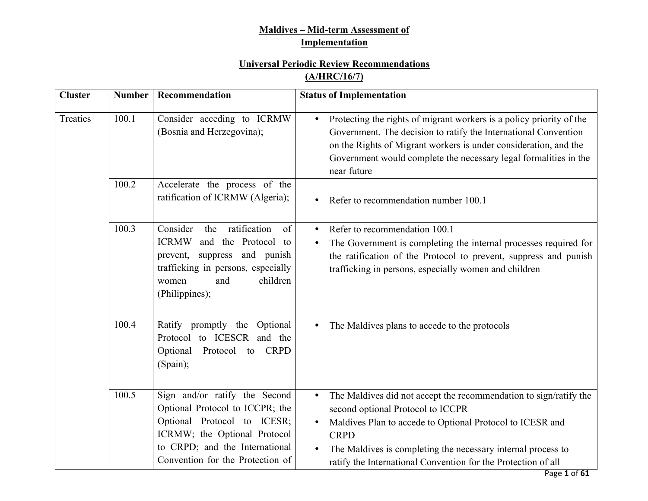## **Maldives – Mid-term Assessment of Implementation**

# **Universal Periodic Review Recommendations**

## **(A/HRC/16/7)**

| <b>Cluster</b> | <b>Number</b> | Recommendation                                                                                                                                                                                        | <b>Status of Implementation</b>                                                                                                                                                                                                                                                                                                  |
|----------------|---------------|-------------------------------------------------------------------------------------------------------------------------------------------------------------------------------------------------------|----------------------------------------------------------------------------------------------------------------------------------------------------------------------------------------------------------------------------------------------------------------------------------------------------------------------------------|
| Treaties       | 100.1         | Consider acceding to ICRMW<br>(Bosnia and Herzegovina);                                                                                                                                               | Protecting the rights of migrant workers is a policy priority of the<br>$\bullet$<br>Government. The decision to ratify the International Convention<br>on the Rights of Migrant workers is under consideration, and the<br>Government would complete the necessary legal formalities in the<br>near future                      |
|                | 100.2         | Accelerate the process of the<br>ratification of ICRMW (Algeria);                                                                                                                                     | Refer to recommendation number 100.1                                                                                                                                                                                                                                                                                             |
|                | 100.3         | Consider<br>ratification<br>the<br>of<br><b>ICRMW</b><br>and the Protocol to<br>suppress and punish<br>prevent,<br>trafficking in persons, especially<br>children<br>and<br>women<br>(Philippines);   | Refer to recommendation 100.1<br>$\bullet$<br>The Government is completing the internal processes required for<br>$\bullet$<br>the ratification of the Protocol to prevent, suppress and punish<br>trafficking in persons, especially women and children                                                                         |
|                | 100.4         | Ratify promptly the Optional<br>Protocol to ICESCR and the<br>Optional<br>Protocol to<br><b>CRPD</b><br>(Spain);                                                                                      | The Maldives plans to accede to the protocols<br>$\bullet$                                                                                                                                                                                                                                                                       |
|                | 100.5         | Sign and/or ratify the Second<br>Optional Protocol to ICCPR; the<br>Optional Protocol to ICESR;<br>ICRMW; the Optional Protocol<br>to CRPD; and the International<br>Convention for the Protection of | The Maldives did not accept the recommendation to sign/ratify the<br>$\bullet$<br>second optional Protocol to ICCPR<br>Maldives Plan to accede to Optional Protocol to ICESR and<br><b>CRPD</b><br>The Maldives is completing the necessary internal process to<br>ratify the International Convention for the Protection of all |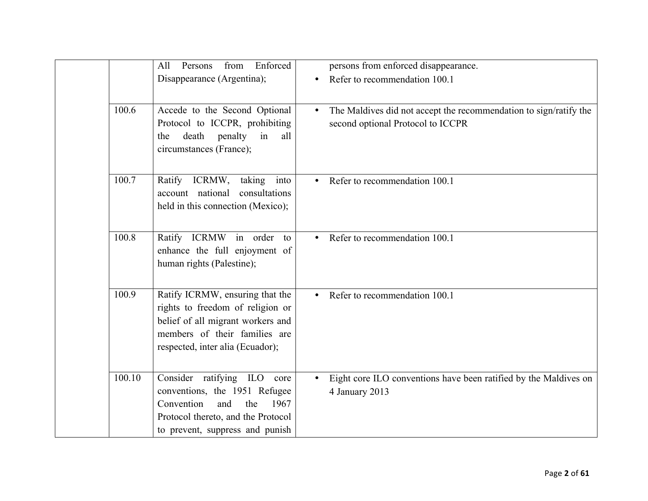|        | Enforced<br>Persons<br>from<br>All<br>Disappearance (Argentina);                                                                                                              |           | persons from enforced disappearance.<br>Refer to recommendation 100.1                                  |
|--------|-------------------------------------------------------------------------------------------------------------------------------------------------------------------------------|-----------|--------------------------------------------------------------------------------------------------------|
| 100.6  | Accede to the Second Optional<br>Protocol to ICCPR, prohibiting<br>death<br>penalty<br>all<br>in<br>the<br>circumstances (France);                                            | $\bullet$ | The Maldives did not accept the recommendation to sign/ratify the<br>second optional Protocol to ICCPR |
| 100.7  | Ratify ICRMW,<br>into<br>taking<br>account national<br>consultations<br>held in this connection (Mexico);                                                                     |           | Refer to recommendation 100.1                                                                          |
| 100.8  | Ratify ICRMW in order to<br>enhance the full enjoyment of<br>human rights (Palestine);                                                                                        |           | Refer to recommendation 100.1                                                                          |
| 100.9  | Ratify ICRMW, ensuring that the<br>rights to freedom of religion or<br>belief of all migrant workers and<br>members of their families are<br>respected, inter alia (Ecuador); |           | • Refer to recommendation 100.1                                                                        |
| 100.10 | Consider ratifying ILO core<br>conventions, the 1951 Refugee<br>Convention<br>and<br>the<br>1967<br>Protocol thereto, and the Protocol<br>to prevent, suppress and punish     |           | Eight core ILO conventions have been ratified by the Maldives on<br>4 January 2013                     |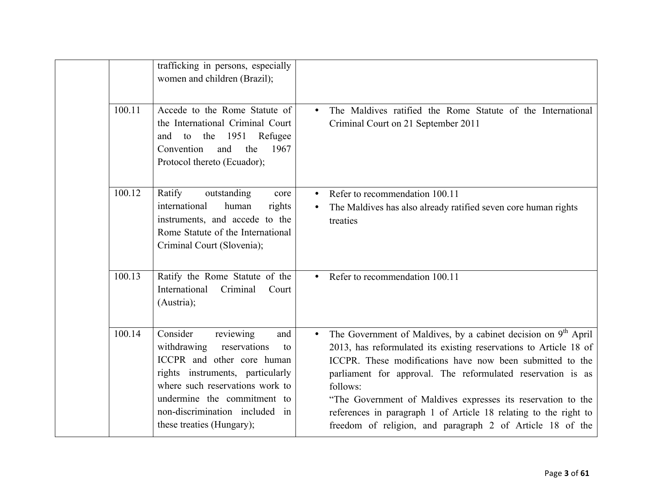|        | trafficking in persons, especially<br>women and children (Brazil);                                                                                                                                                                                                   |                                                                                                                                                                                                                                                                                                                                                                                                                                                                                                       |
|--------|----------------------------------------------------------------------------------------------------------------------------------------------------------------------------------------------------------------------------------------------------------------------|-------------------------------------------------------------------------------------------------------------------------------------------------------------------------------------------------------------------------------------------------------------------------------------------------------------------------------------------------------------------------------------------------------------------------------------------------------------------------------------------------------|
| 100.11 | Accede to the Rome Statute of<br>the International Criminal Court<br>to the 1951 Refugee<br>and<br>Convention<br>and<br>1967<br>the<br>Protocol thereto (Ecuador);                                                                                                   | The Maldives ratified the Rome Statute of the International<br>$\bullet$<br>Criminal Court on 21 September 2011                                                                                                                                                                                                                                                                                                                                                                                       |
| 100.12 | Ratify<br>outstanding<br>core<br>international<br>human<br>rights<br>instruments, and accede to the<br>Rome Statute of the International<br>Criminal Court (Slovenia);                                                                                               | Refer to recommendation 100.11<br>The Maldives has also already ratified seven core human rights<br>treaties                                                                                                                                                                                                                                                                                                                                                                                          |
| 100.13 | Ratify the Rome Statute of the<br>Criminal<br>International<br>Court<br>(Austria);                                                                                                                                                                                   | Refer to recommendation 100.11                                                                                                                                                                                                                                                                                                                                                                                                                                                                        |
| 100.14 | Consider<br>reviewing<br>and<br>reservations<br>withdrawing<br>to<br>ICCPR and other core human<br>rights instruments, particularly<br>where such reservations work to<br>undermine the commitment to<br>non-discrimination included in<br>these treaties (Hungary); | The Government of Maldives, by a cabinet decision on 9 <sup>th</sup> April<br>$\bullet$<br>2013, has reformulated its existing reservations to Article 18 of<br>ICCPR. These modifications have now been submitted to the<br>parliament for approval. The reformulated reservation is as<br>follows:<br>"The Government of Maldives expresses its reservation to the<br>references in paragraph 1 of Article 18 relating to the right to<br>freedom of religion, and paragraph 2 of Article 18 of the |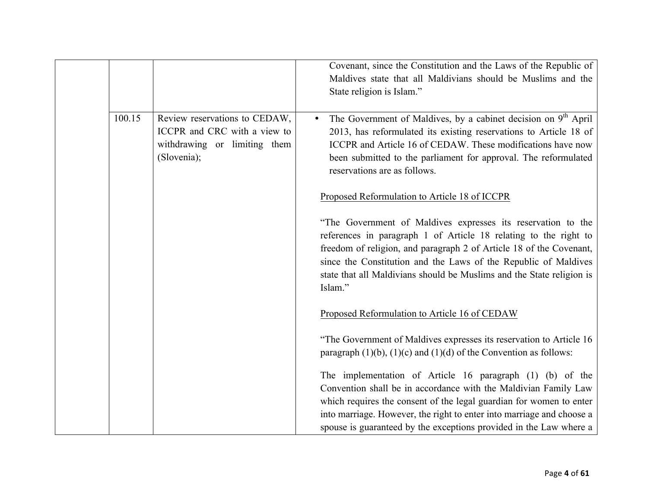|        |                                                                                                              | Covenant, since the Constitution and the Laws of the Republic of<br>Maldives state that all Maldivians should be Muslims and the<br>State religion is Islam."                                                                                                                                                                                                  |
|--------|--------------------------------------------------------------------------------------------------------------|----------------------------------------------------------------------------------------------------------------------------------------------------------------------------------------------------------------------------------------------------------------------------------------------------------------------------------------------------------------|
| 100.15 | Review reservations to CEDAW,<br>ICCPR and CRC with a view to<br>withdrawing or limiting them<br>(Slovenia); | The Government of Maldives, by a cabinet decision on 9 <sup>th</sup> April<br>2013, has reformulated its existing reservations to Article 18 of<br>ICCPR and Article 16 of CEDAW. These modifications have now<br>been submitted to the parliament for approval. The reformulated<br>reservations are as follows.                                              |
|        |                                                                                                              | Proposed Reformulation to Article 18 of ICCPR                                                                                                                                                                                                                                                                                                                  |
|        |                                                                                                              | "The Government of Maldives expresses its reservation to the<br>references in paragraph 1 of Article 18 relating to the right to<br>freedom of religion, and paragraph 2 of Article 18 of the Covenant,<br>since the Constitution and the Laws of the Republic of Maldives<br>state that all Maldivians should be Muslims and the State religion is<br>Islam." |
|        |                                                                                                              | Proposed Reformulation to Article 16 of CEDAW                                                                                                                                                                                                                                                                                                                  |
|        |                                                                                                              | "The Government of Maldives expresses its reservation to Article 16<br>paragraph $(1)(b)$ , $(1)(c)$ and $(1)(d)$ of the Convention as follows:                                                                                                                                                                                                                |
|        |                                                                                                              | The implementation of Article 16 paragraph (1) (b) of the<br>Convention shall be in accordance with the Maldivian Family Law<br>which requires the consent of the legal guardian for women to enter<br>into marriage. However, the right to enter into marriage and choose a<br>spouse is guaranteed by the exceptions provided in the Law where a             |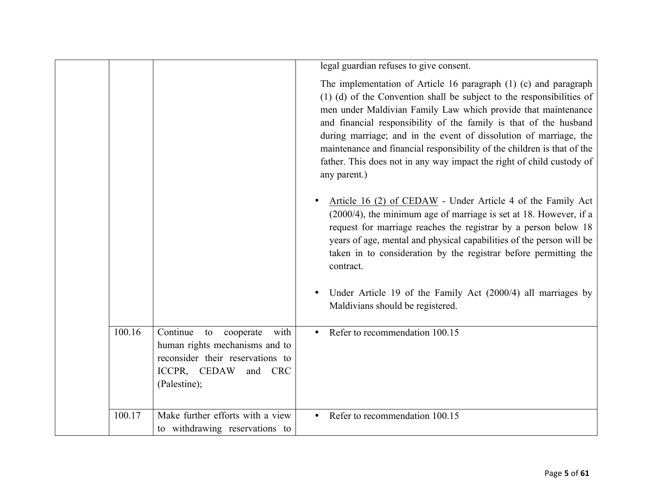|        |                                                                                                                                                      | legal guardian refuses to give consent.                                                                                                                                                                                                                                                                                                                                                                                                                                                                                  |
|--------|------------------------------------------------------------------------------------------------------------------------------------------------------|--------------------------------------------------------------------------------------------------------------------------------------------------------------------------------------------------------------------------------------------------------------------------------------------------------------------------------------------------------------------------------------------------------------------------------------------------------------------------------------------------------------------------|
|        |                                                                                                                                                      | The implementation of Article 16 paragraph (1) (c) and paragraph<br>(1) (d) of the Convention shall be subject to the responsibilities of<br>men under Maldivian Family Law which provide that maintenance<br>and financial responsibility of the family is that of the husband<br>during marriage; and in the event of dissolution of marriage, the<br>maintenance and financial responsibility of the children is that of the<br>father. This does not in any way impact the right of child custody of<br>any parent.) |
|        |                                                                                                                                                      | Article 16 (2) of CEDAW - Under Article 4 of the Family Act<br>(2000/4), the minimum age of marriage is set at 18. However, if a<br>request for marriage reaches the registrar by a person below 18<br>years of age, mental and physical capabilities of the person will be<br>taken in to consideration by the registrar before permitting the<br>contract.                                                                                                                                                             |
|        |                                                                                                                                                      | Under Article 19 of the Family Act (2000/4) all marriages by<br>Maldivians should be registered.                                                                                                                                                                                                                                                                                                                                                                                                                         |
| 100.16 | Continue<br>to<br>cooperate<br>with<br>human rights mechanisms and to<br>reconsider their reservations to<br>ICCPR, CEDAW<br>and CRC<br>(Palestine); | Refer to recommendation 100.15<br>$\bullet$                                                                                                                                                                                                                                                                                                                                                                                                                                                                              |
| 100.17 | Make further efforts with a view<br>to withdrawing reservations to                                                                                   | Refer to recommendation 100.15                                                                                                                                                                                                                                                                                                                                                                                                                                                                                           |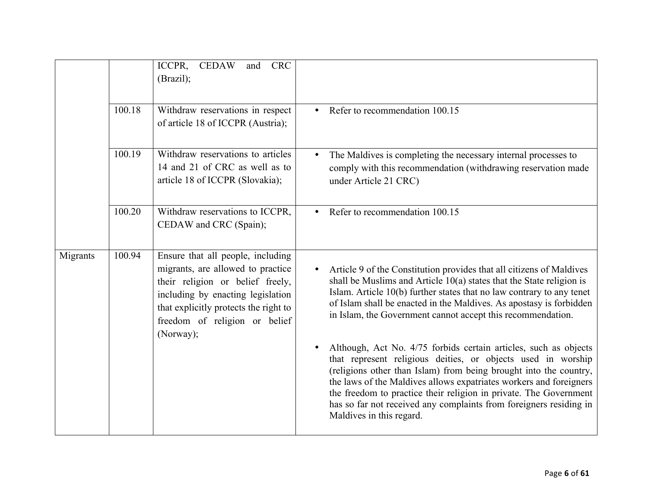|          |        | ICCPR,<br><b>CEDAW</b><br><b>CRC</b><br>and<br>(Brazil);                                                                                                                                                                               |                                                                                                                                                                                                                                                                                                                                                                                                                                                    |
|----------|--------|----------------------------------------------------------------------------------------------------------------------------------------------------------------------------------------------------------------------------------------|----------------------------------------------------------------------------------------------------------------------------------------------------------------------------------------------------------------------------------------------------------------------------------------------------------------------------------------------------------------------------------------------------------------------------------------------------|
|          | 100.18 | Withdraw reservations in respect<br>of article 18 of ICCPR (Austria);                                                                                                                                                                  | Refer to recommendation 100.15<br>$\bullet$                                                                                                                                                                                                                                                                                                                                                                                                        |
|          | 100.19 | Withdraw reservations to articles<br>14 and 21 of CRC as well as to<br>article 18 of ICCPR (Slovakia);                                                                                                                                 | The Maldives is completing the necessary internal processes to<br>comply with this recommendation (withdrawing reservation made<br>under Article 21 CRC)                                                                                                                                                                                                                                                                                           |
|          | 100.20 | Withdraw reservations to ICCPR,<br>CEDAW and CRC (Spain);                                                                                                                                                                              | Refer to recommendation 100.15<br>$\bullet$                                                                                                                                                                                                                                                                                                                                                                                                        |
| Migrants | 100.94 | Ensure that all people, including<br>migrants, are allowed to practice<br>their religion or belief freely,<br>including by enacting legislation<br>that explicitly protects the right to<br>freedom of religion or belief<br>(Norway); | Article 9 of the Constitution provides that all citizens of Maldives<br>shall be Muslims and Article $10(a)$ states that the State religion is<br>Islam. Article 10(b) further states that no law contrary to any tenet<br>of Islam shall be enacted in the Maldives. As apostasy is forbidden<br>in Islam, the Government cannot accept this recommendation.                                                                                      |
|          |        |                                                                                                                                                                                                                                        | Although, Act No. 4/75 forbids certain articles, such as objects<br>that represent religious deities, or objects used in worship<br>(religions other than Islam) from being brought into the country,<br>the laws of the Maldives allows expatriates workers and foreigners<br>the freedom to practice their religion in private. The Government<br>has so far not received any complaints from foreigners residing in<br>Maldives in this regard. |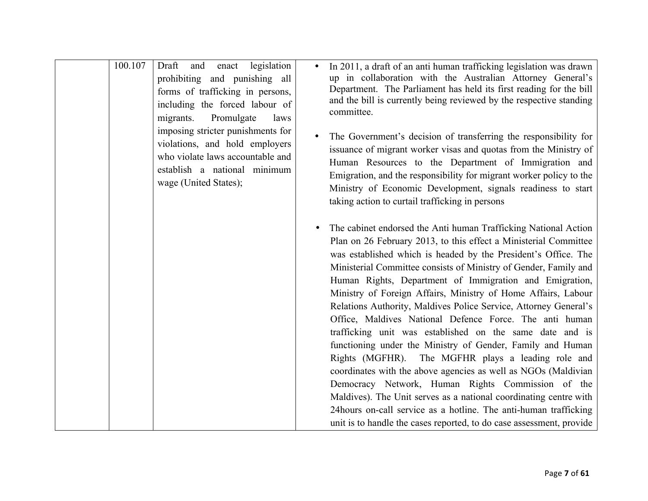| 100.107 | legislation<br>Draft<br>and<br>enact<br>prohibiting and punishing all<br>forms of trafficking in persons,<br>including the forced labour of<br>Promulgate<br>migrants.<br>laws<br>imposing stricter punishments for<br>violations, and hold employers<br>who violate laws accountable and<br>establish a national minimum<br>wage (United States); | In 2011, a draft of an anti human trafficking legislation was drawn<br>up in collaboration with the Australian Attorney General's<br>Department. The Parliament has held its first reading for the bill<br>and the bill is currently being reviewed by the respective standing<br>committee.<br>The Government's decision of transferring the responsibility for<br>issuance of migrant worker visas and quotas from the Ministry of<br>Human Resources to the Department of Immigration and<br>Emigration, and the responsibility for migrant worker policy to the<br>Ministry of Economic Development, signals readiness to start<br>taking action to curtail trafficking in persons                                                                                                                                                                                                                                                                                                                                                                        |
|---------|----------------------------------------------------------------------------------------------------------------------------------------------------------------------------------------------------------------------------------------------------------------------------------------------------------------------------------------------------|---------------------------------------------------------------------------------------------------------------------------------------------------------------------------------------------------------------------------------------------------------------------------------------------------------------------------------------------------------------------------------------------------------------------------------------------------------------------------------------------------------------------------------------------------------------------------------------------------------------------------------------------------------------------------------------------------------------------------------------------------------------------------------------------------------------------------------------------------------------------------------------------------------------------------------------------------------------------------------------------------------------------------------------------------------------|
|         |                                                                                                                                                                                                                                                                                                                                                    | The cabinet endorsed the Anti human Trafficking National Action<br>Plan on 26 February 2013, to this effect a Ministerial Committee<br>was established which is headed by the President's Office. The<br>Ministerial Committee consists of Ministry of Gender, Family and<br>Human Rights, Department of Immigration and Emigration,<br>Ministry of Foreign Affairs, Ministry of Home Affairs, Labour<br>Relations Authority, Maldives Police Service, Attorney General's<br>Office, Maldives National Defence Force. The anti human<br>trafficking unit was established on the same date and is<br>functioning under the Ministry of Gender, Family and Human<br>Rights (MGFHR). The MGFHR plays a leading role and<br>coordinates with the above agencies as well as NGOs (Maldivian<br>Democracy Network, Human Rights Commission of the<br>Maldives). The Unit serves as a national coordinating centre with<br>24 hours on-call service as a hotline. The anti-human trafficking<br>unit is to handle the cases reported, to do case assessment, provide |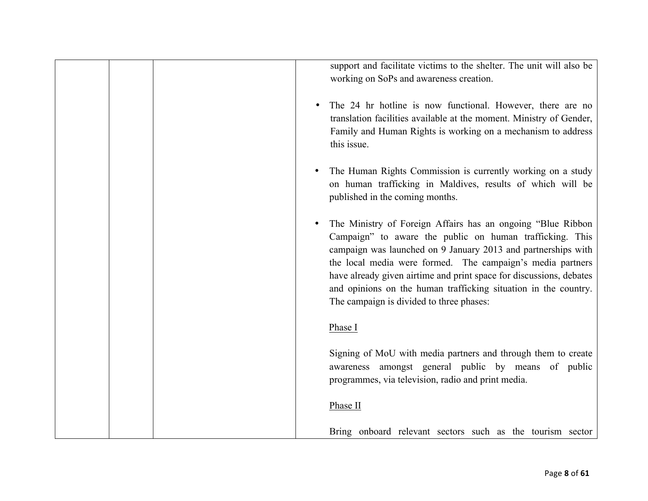support and facilitate victims to the shelter. The unit will also be working on SoPs and awareness creation.

- The 24 hr hotline is now functional. However, there are no translation facilities available at the moment. Ministry of Gender, Family and Human Rights is working on a mechanism to address this issue.
- The Human Rights Commission is currently working on a study on human trafficking in Maldives, results of which will be published in the coming months.
- The Ministry of Foreign Affairs has an ongoing "Blue Ribbon Campaign" to aware the public on human trafficking. This campaign was launched on 9 January 2013 and partnerships with the local media were formed. The campaign's media partners have already given airtime and print space for discussions, debates and opinions on the human trafficking situation in the country. The campaign is divided to three phases:

#### Phase I

Signing of MoU with media partners and through them to create awareness amongst general public by means of public programmes, via television, radio and print media.

#### Phase II

Bring onboard relevant sectors such as the tourism sector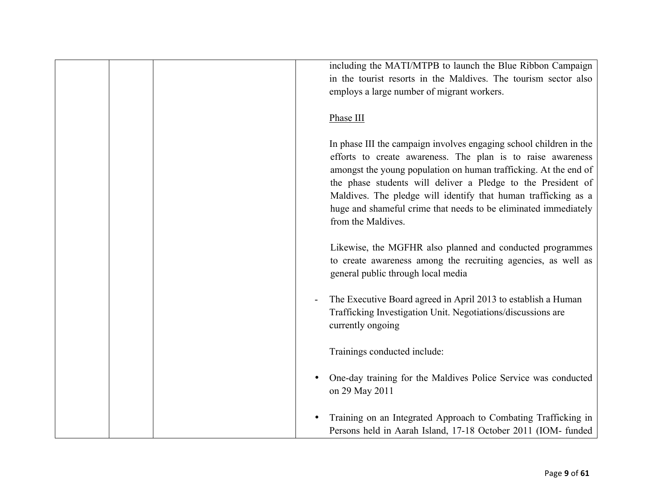|  | including the MATI/MTPB to launch the Blue Ribbon Campaign<br>in the tourist resorts in the Maldives. The tourism sector also<br>employs a large number of migrant workers.                                                                                                                                                                                                                                                      |
|--|----------------------------------------------------------------------------------------------------------------------------------------------------------------------------------------------------------------------------------------------------------------------------------------------------------------------------------------------------------------------------------------------------------------------------------|
|  | Phase III                                                                                                                                                                                                                                                                                                                                                                                                                        |
|  | In phase III the campaign involves engaging school children in the<br>efforts to create awareness. The plan is to raise awareness<br>amongst the young population on human trafficking. At the end of<br>the phase students will deliver a Pledge to the President of<br>Maldives. The pledge will identify that human trafficking as a<br>huge and shameful crime that needs to be eliminated immediately<br>from the Maldives. |
|  | Likewise, the MGFHR also planned and conducted programmes<br>to create awareness among the recruiting agencies, as well as<br>general public through local media                                                                                                                                                                                                                                                                 |
|  | The Executive Board agreed in April 2013 to establish a Human<br>Trafficking Investigation Unit. Negotiations/discussions are<br>currently ongoing                                                                                                                                                                                                                                                                               |
|  | Trainings conducted include:                                                                                                                                                                                                                                                                                                                                                                                                     |
|  | One-day training for the Maldives Police Service was conducted<br>on 29 May 2011                                                                                                                                                                                                                                                                                                                                                 |
|  | Training on an Integrated Approach to Combating Trafficking in<br>Persons held in Aarah Island, 17-18 October 2011 (IOM- funded                                                                                                                                                                                                                                                                                                  |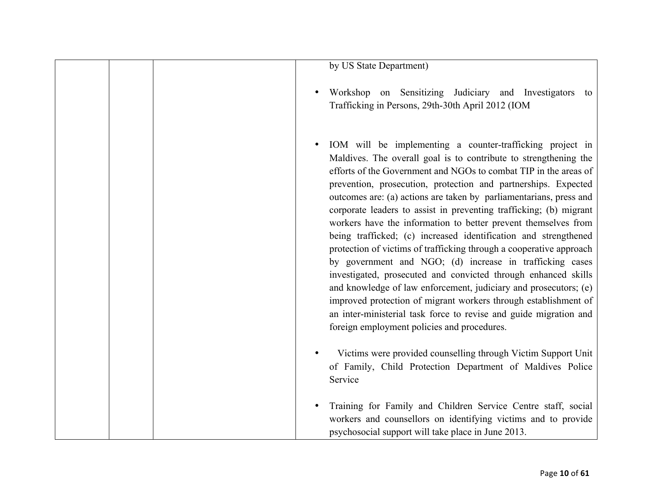|  | by US State Department)                                                                                                                                                                                                                                                                                                                                                                                                                                                                                                                                                                                                                                                                                                                                                                                                                                                                                                                                                                                              |
|--|----------------------------------------------------------------------------------------------------------------------------------------------------------------------------------------------------------------------------------------------------------------------------------------------------------------------------------------------------------------------------------------------------------------------------------------------------------------------------------------------------------------------------------------------------------------------------------------------------------------------------------------------------------------------------------------------------------------------------------------------------------------------------------------------------------------------------------------------------------------------------------------------------------------------------------------------------------------------------------------------------------------------|
|  | Workshop on Sensitizing Judiciary and Investigators to<br>Trafficking in Persons, 29th-30th April 2012 (IOM                                                                                                                                                                                                                                                                                                                                                                                                                                                                                                                                                                                                                                                                                                                                                                                                                                                                                                          |
|  | IOM will be implementing a counter-trafficking project in<br>Maldives. The overall goal is to contribute to strengthening the<br>efforts of the Government and NGOs to combat TIP in the areas of<br>prevention, prosecution, protection and partnerships. Expected<br>outcomes are: (a) actions are taken by parliamentarians, press and<br>corporate leaders to assist in preventing trafficking; (b) migrant<br>workers have the information to better prevent themselves from<br>being trafficked; (c) increased identification and strengthened<br>protection of victims of trafficking through a cooperative approach<br>by government and NGO; (d) increase in trafficking cases<br>investigated, prosecuted and convicted through enhanced skills<br>and knowledge of law enforcement, judiciary and prosecutors; (e)<br>improved protection of migrant workers through establishment of<br>an inter-ministerial task force to revise and guide migration and<br>foreign employment policies and procedures. |
|  | Victims were provided counselling through Victim Support Unit<br>of Family, Child Protection Department of Maldives Police<br>Service                                                                                                                                                                                                                                                                                                                                                                                                                                                                                                                                                                                                                                                                                                                                                                                                                                                                                |
|  | Training for Family and Children Service Centre staff, social<br>workers and counsellors on identifying victims and to provide<br>psychosocial support will take place in June 2013.                                                                                                                                                                                                                                                                                                                                                                                                                                                                                                                                                                                                                                                                                                                                                                                                                                 |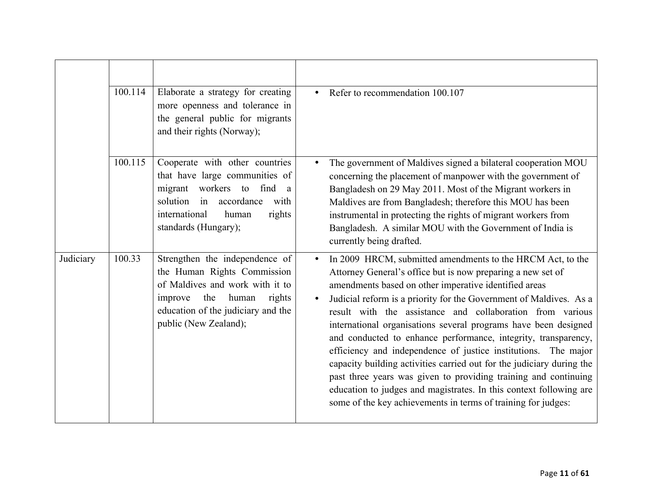|           | 100.114 | Elaborate a strategy for creating<br>more openness and tolerance in<br>the general public for migrants<br>and their rights (Norway);                                                                 | Refer to recommendation 100.107                                                                                                                                                                                                                                                                                                                                                                                                                                                                                                                                                                                                                                                                                                                                                                                 |
|-----------|---------|------------------------------------------------------------------------------------------------------------------------------------------------------------------------------------------------------|-----------------------------------------------------------------------------------------------------------------------------------------------------------------------------------------------------------------------------------------------------------------------------------------------------------------------------------------------------------------------------------------------------------------------------------------------------------------------------------------------------------------------------------------------------------------------------------------------------------------------------------------------------------------------------------------------------------------------------------------------------------------------------------------------------------------|
|           | 100.115 | Cooperate with other countries<br>that have large communities of<br>migrant workers to find a<br>solution in accordance<br>with<br>international<br>human<br>rights<br>standards (Hungary);          | The government of Maldives signed a bilateral cooperation MOU<br>concerning the placement of manpower with the government of<br>Bangladesh on 29 May 2011. Most of the Migrant workers in<br>Maldives are from Bangladesh; therefore this MOU has been<br>instrumental in protecting the rights of migrant workers from<br>Bangladesh. A similar MOU with the Government of India is<br>currently being drafted.                                                                                                                                                                                                                                                                                                                                                                                                |
| Judiciary | 100.33  | Strengthen the independence of<br>the Human Rights Commission<br>of Maldives and work with it to<br>the<br>human<br>rights<br>improve<br>education of the judiciary and the<br>public (New Zealand); | In 2009 HRCM, submitted amendments to the HRCM Act, to the<br>Attorney General's office but is now preparing a new set of<br>amendments based on other imperative identified areas<br>Judicial reform is a priority for the Government of Maldives. As a<br>result with the assistance and collaboration from various<br>international organisations several programs have been designed<br>and conducted to enhance performance, integrity, transparency,<br>efficiency and independence of justice institutions. The major<br>capacity building activities carried out for the judiciary during the<br>past three years was given to providing training and continuing<br>education to judges and magistrates. In this context following are<br>some of the key achievements in terms of training for judges: |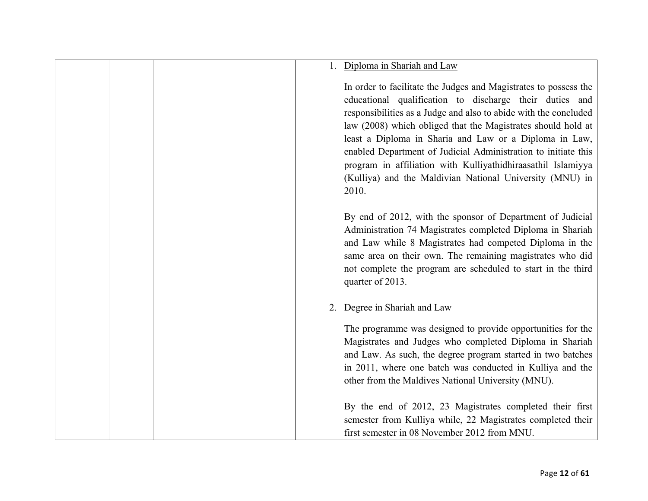|    | Diploma in Shariah and Law                                                                                                                                                                                                                                                                                                                                                                                                                                                                                                       |
|----|----------------------------------------------------------------------------------------------------------------------------------------------------------------------------------------------------------------------------------------------------------------------------------------------------------------------------------------------------------------------------------------------------------------------------------------------------------------------------------------------------------------------------------|
|    | In order to facilitate the Judges and Magistrates to possess the<br>educational qualification to discharge their duties and<br>responsibilities as a Judge and also to abide with the concluded<br>law (2008) which obliged that the Magistrates should hold at<br>least a Diploma in Sharia and Law or a Diploma in Law,<br>enabled Department of Judicial Administration to initiate this<br>program in affiliation with Kulliyathidhiraasathil Islamiyya<br>(Kulliya) and the Maldivian National University (MNU) in<br>2010. |
|    | By end of 2012, with the sponsor of Department of Judicial<br>Administration 74 Magistrates completed Diploma in Shariah<br>and Law while 8 Magistrates had competed Diploma in the<br>same area on their own. The remaining magistrates who did<br>not complete the program are scheduled to start in the third<br>quarter of 2013.                                                                                                                                                                                             |
| 2. | Degree in Shariah and Law<br>The programme was designed to provide opportunities for the<br>Magistrates and Judges who completed Diploma in Shariah<br>and Law. As such, the degree program started in two batches<br>in 2011, where one batch was conducted in Kulliya and the<br>other from the Maldives National University (MNU).                                                                                                                                                                                            |
|    | By the end of 2012, 23 Magistrates completed their first<br>semester from Kulliya while, 22 Magistrates completed their<br>first semester in 08 November 2012 from MNU.                                                                                                                                                                                                                                                                                                                                                          |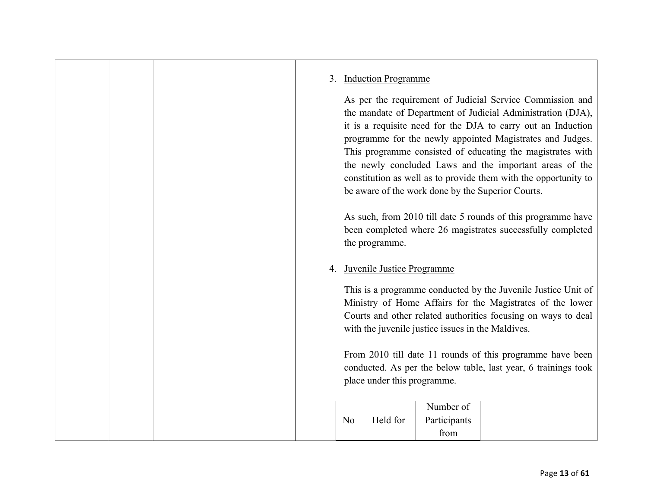### 3. Induction Programme

As per the requirement of Judicial Service Commission and the mandate of Department of Judicial Administration (DJA), it is a requisite need for the DJA to carry out an Induction programme for the newly appointed Magistrates and Judges. This programme consisted of educating the magistrates with the newly concluded Laws and the important areas of the constitution as well as to provide them with the opportunity to be aware of the work done by the Superior Courts.

As such, from 2010 till date 5 rounds of this programme have been completed where 26 magistrates successfully completed the programme.

## 4. Juvenile Justice Programme

This is a programme conducted by the Juvenile Justice Unit of Ministry of Home Affairs for the Magistrates of the lower Courts and other related authorities focusing on ways to deal with the juvenile justice issues in the Maldives.

From 2010 till date 11 rounds of this programme have been conducted. As per the below table, last year, 6 trainings took place under this programme.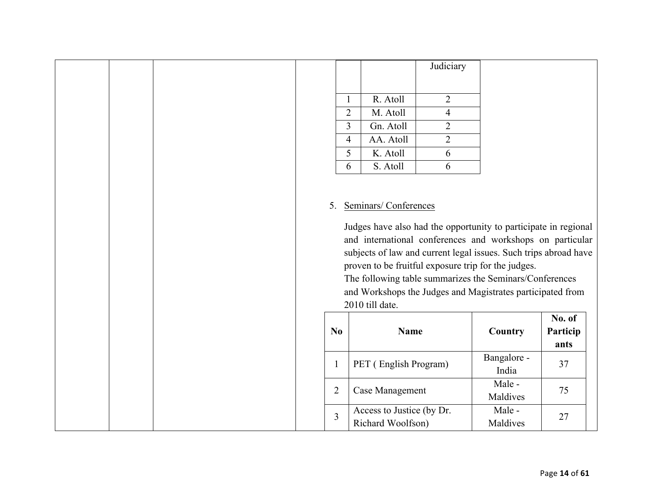|  |  |                |                |                                                                                                                                                                                                                                                     | Judiciary      |
|--|--|----------------|----------------|-----------------------------------------------------------------------------------------------------------------------------------------------------------------------------------------------------------------------------------------------------|----------------|
|  |  |                |                |                                                                                                                                                                                                                                                     |                |
|  |  |                | $\mathbf{1}$   | R. Atoll                                                                                                                                                                                                                                            | $\overline{2}$ |
|  |  |                | $\overline{2}$ | M. Atoll                                                                                                                                                                                                                                            | $\overline{4}$ |
|  |  |                | 3              | Gn. Atoll                                                                                                                                                                                                                                           | $\overline{2}$ |
|  |  |                | $\overline{4}$ | AA. Atoll                                                                                                                                                                                                                                           | $\overline{2}$ |
|  |  |                | 5              | K. Atoll                                                                                                                                                                                                                                            | 6              |
|  |  |                | 6              | S. Atoll                                                                                                                                                                                                                                            | 6              |
|  |  | 5.             |                | Seminars/Conferences<br>Judges have also had the oppo:<br>and international conferences<br>subjects of law and current lega<br>proven to be fruitful exposure t<br>The following table summarize<br>and Workshops the Judges and<br>2010 till date. |                |
|  |  | N <sub>0</sub> |                | <b>Name</b>                                                                                                                                                                                                                                         |                |
|  |  |                | $\mathbf{1}$   | PET (English Program)                                                                                                                                                                                                                               |                |
|  |  |                | $\overline{2}$ | Case Management                                                                                                                                                                                                                                     |                |
|  |  |                | $\overline{3}$ | Access to Justice (by Dr.<br>Richard Woolfson)                                                                                                                                                                                                      |                |

rtunity to participate in regional and workshops on particular al issues. Such trips abroad have trip for the judges.

es the Seminars/Conferences Magistrates participated from

| $\bf No$ | <b>Name</b>                                    | Country              | No. of<br>Particip<br>ants |
|----------|------------------------------------------------|----------------------|----------------------------|
|          | PET (English Program)                          | Bangalore -<br>India | 37                         |
| 2        | Case Management                                | Male -<br>Maldives   | 75                         |
| 3        | Access to Justice (by Dr.<br>Richard Woolfson) | Male -<br>Maldives   | 27                         |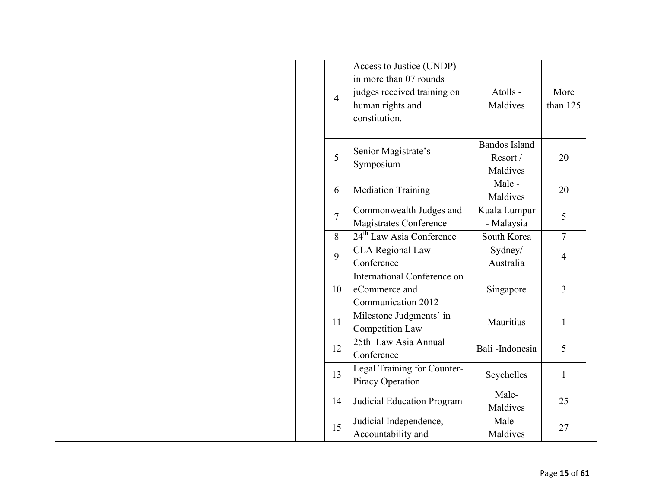|  | $\overline{4}$ | Access to Justice $(UNDP)$ –<br>in more than 07 rounds<br>judges received training on<br>human rights and<br>constitution. | Atolls -<br>Maldives                         | More<br>than $125$ |
|--|----------------|----------------------------------------------------------------------------------------------------------------------------|----------------------------------------------|--------------------|
|  | 5              | Senior Magistrate's<br>Symposium                                                                                           | <b>Bandos Island</b><br>Resort /<br>Maldives | 20                 |
|  | 6              | <b>Mediation Training</b>                                                                                                  | Male -<br>Maldives                           | 20                 |
|  | $\overline{7}$ | Commonwealth Judges and<br><b>Magistrates Conference</b>                                                                   | Kuala Lumpur<br>- Malaysia                   | 5                  |
|  | 8              | 24 <sup>th</sup> Law Asia Conference                                                                                       | South Korea                                  | $\overline{7}$     |
|  | $\mathbf{Q}$   | <b>CLA Regional Law</b><br>Conference                                                                                      | Sydney/<br>Australia                         | $\overline{4}$     |
|  | 10             | International Conference on<br>eCommerce and<br>Communication 2012                                                         | Singapore                                    | $\overline{3}$     |
|  | 11             | Milestone Judgments' in<br>Competition Law                                                                                 | Mauritius                                    | $\mathbf{1}$       |
|  | 12             | 25th Law Asia Annual<br>Conference                                                                                         | Bali-Indonesia                               | 5                  |
|  | 13             | Legal Training for Counter-<br>Piracy Operation                                                                            | Seychelles                                   | $\mathbf{1}$       |
|  | 14             | Judicial Education Program                                                                                                 | Male-<br>Maldives                            | 25                 |
|  | 15             | Judicial Independence,<br>Accountability and                                                                               | Male -<br>Maldives                           | 27                 |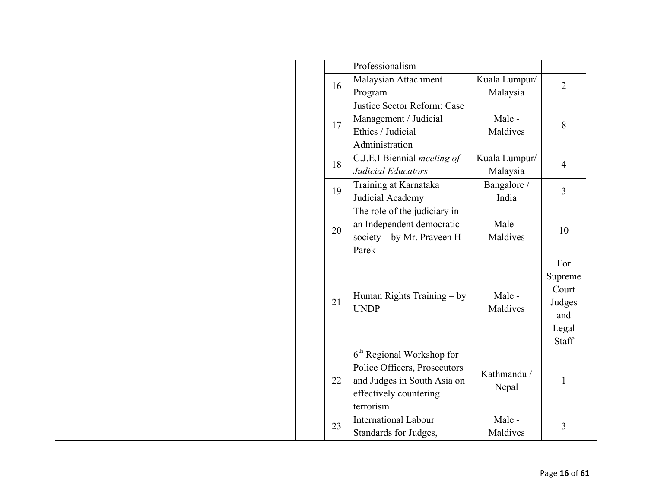|  |  |    | Professionalism                       |               |                |
|--|--|----|---------------------------------------|---------------|----------------|
|  |  | 16 | Malaysian Attachment                  | Kuala Lumpur/ |                |
|  |  |    | Program                               | Malaysia      | $\overline{2}$ |
|  |  |    | Justice Sector Reform: Case           |               |                |
|  |  | 17 | Management / Judicial                 | Male -        |                |
|  |  |    | Ethics / Judicial                     | Maldives      | 8              |
|  |  |    | Administration                        |               |                |
|  |  | 18 | C.J.E.I Biennial <i>meeting of</i>    | Kuala Lumpur/ | $\overline{4}$ |
|  |  |    | Judicial Educators                    | Malaysia      |                |
|  |  | 19 | Training at Karnataka                 | Bangalore /   | $\overline{3}$ |
|  |  |    | Judicial Academy                      | India         |                |
|  |  |    | The role of the judiciary in          |               |                |
|  |  | 20 | an Independent democratic             | Male -        | 10             |
|  |  |    | society - by Mr. Praveen H            | Maldives      |                |
|  |  |    | Parek                                 |               |                |
|  |  |    |                                       |               | For            |
|  |  |    |                                       |               | Supreme        |
|  |  |    | Human Rights Training - by            | Male -        | Court          |
|  |  | 21 | <b>UNDP</b>                           | Maldives      | Judges         |
|  |  |    |                                       |               | and            |
|  |  |    |                                       |               | Legal          |
|  |  |    |                                       |               | Staff          |
|  |  |    | 6 <sup>th</sup> Regional Workshop for |               |                |
|  |  |    | Police Officers, Prosecutors          | Kathmandu /   |                |
|  |  | 22 | and Judges in South Asia on           | Nepal         | $\mathbf{1}$   |
|  |  |    | effectively countering                |               |                |
|  |  |    | terrorism                             |               |                |
|  |  | 23 | <b>International Labour</b>           | Male -        | 3              |
|  |  |    | Standards for Judges,                 | Maldives      |                |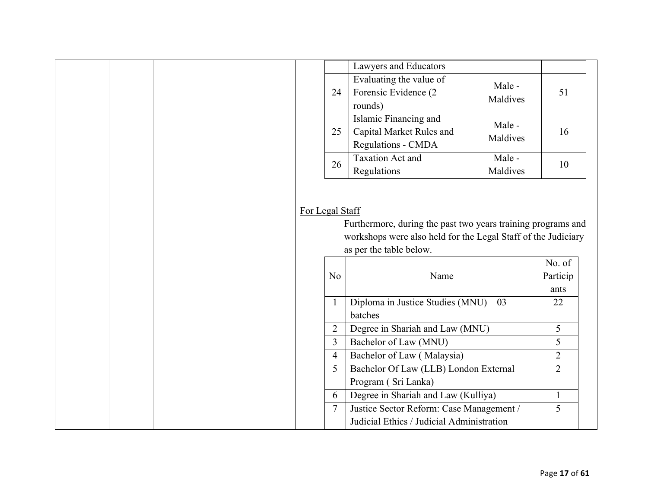|                | Lawyers and Educators                                                                    |                    |                |
|----------------|------------------------------------------------------------------------------------------|--------------------|----------------|
| 24             | Evaluating the value of<br>Forensic Evidence (2<br>rounds)                               | Male -<br>Maldives | 51             |
| 25             | Islamic Financing and<br>Capital Market Rules and<br><b>Regulations - CMDA</b>           | Male -<br>Maldives | 16             |
| 26             | <b>Taxation Act and</b><br>Regulations                                                   | Male -<br>Maldives | 10             |
|                | workshops were also held for the Legal Staff of the Judiciary<br>as per the table below. |                    | No. of         |
|                | Furthermore, during the past two years training programs and                             |                    |                |
|                |                                                                                          |                    |                |
| N <sub>o</sub> | Name                                                                                     |                    | Particip       |
|                |                                                                                          |                    | ants           |
| $\mathbf{1}$   | Diploma in Justice Studies $(MNU) - 03$<br>batches                                       |                    | 22             |
| $\overline{2}$ | Degree in Shariah and Law (MNU)                                                          |                    | 5              |
| $\overline{3}$ | Bachelor of Law (MNU)                                                                    |                    | 5              |
| $\overline{4}$ | Bachelor of Law (Malaysia)                                                               |                    | $\overline{2}$ |
| 5              | Bachelor Of Law (LLB) London External                                                    |                    | $\overline{2}$ |
|                |                                                                                          |                    |                |
|                | Program (Sri Lanka)                                                                      |                    |                |
| 6              | Degree in Shariah and Law (Kulliya)                                                      |                    | $\mathbf{1}$   |
| $\overline{7}$ | Justice Sector Reform: Case Management /                                                 |                    | 5              |
|                | Judicial Ethics / Judicial Administration                                                |                    |                |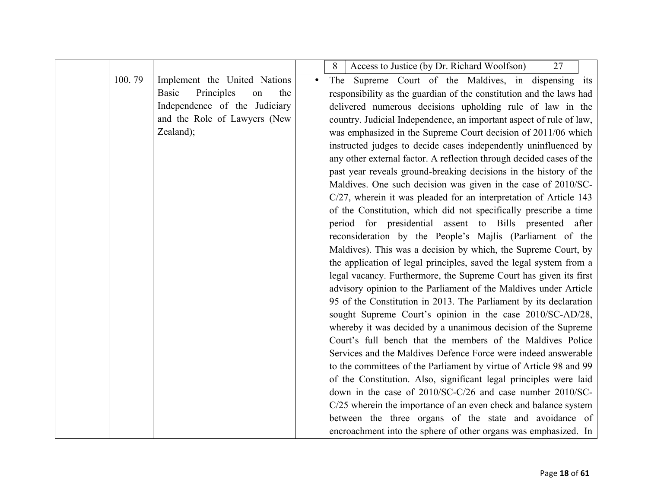|        |                                         |           | Access to Justice (by Dr. Richard Woolfson)<br>27<br>8               |
|--------|-----------------------------------------|-----------|----------------------------------------------------------------------|
| 100.79 | Implement the United Nations            | $\bullet$ | The Supreme Court of the Maldives, in dispensing its                 |
|        | Principles<br><b>Basic</b><br>the<br>on |           | responsibility as the guardian of the constitution and the laws had  |
|        | Independence of the Judiciary           |           | delivered numerous decisions upholding rule of law in the            |
|        | and the Role of Lawyers (New            |           | country. Judicial Independence, an important aspect of rule of law,  |
|        | Zealand);                               |           | was emphasized in the Supreme Court decision of 2011/06 which        |
|        |                                         |           | instructed judges to decide cases independently uninfluenced by      |
|        |                                         |           | any other external factor. A reflection through decided cases of the |
|        |                                         |           | past year reveals ground-breaking decisions in the history of the    |
|        |                                         |           | Maldives. One such decision was given in the case of 2010/SC-        |
|        |                                         |           | C/27, wherein it was pleaded for an interpretation of Article 143    |
|        |                                         |           | of the Constitution, which did not specifically prescribe a time     |
|        |                                         |           | period for presidential assent to Bills presented after              |
|        |                                         |           | reconsideration by the People's Majlis (Parliament of the            |
|        |                                         |           | Maldives). This was a decision by which, the Supreme Court, by       |
|        |                                         |           | the application of legal principles, saved the legal system from a   |
|        |                                         |           | legal vacancy. Furthermore, the Supreme Court has given its first    |
|        |                                         |           | advisory opinion to the Parliament of the Maldives under Article     |
|        |                                         |           | 95 of the Constitution in 2013. The Parliament by its declaration    |
|        |                                         |           | sought Supreme Court's opinion in the case 2010/SC-AD/28,            |
|        |                                         |           | whereby it was decided by a unanimous decision of the Supreme        |
|        |                                         |           | Court's full bench that the members of the Maldives Police           |
|        |                                         |           | Services and the Maldives Defence Force were indeed answerable       |
|        |                                         |           | to the committees of the Parliament by virtue of Article 98 and 99   |
|        |                                         |           | of the Constitution. Also, significant legal principles were laid    |
|        |                                         |           | down in the case of 2010/SC-C/26 and case number 2010/SC-            |
|        |                                         |           | C/25 wherein the importance of an even check and balance system      |
|        |                                         |           | between the three organs of the state and avoidance of               |
|        |                                         |           | encroachment into the sphere of other organs was emphasized. In      |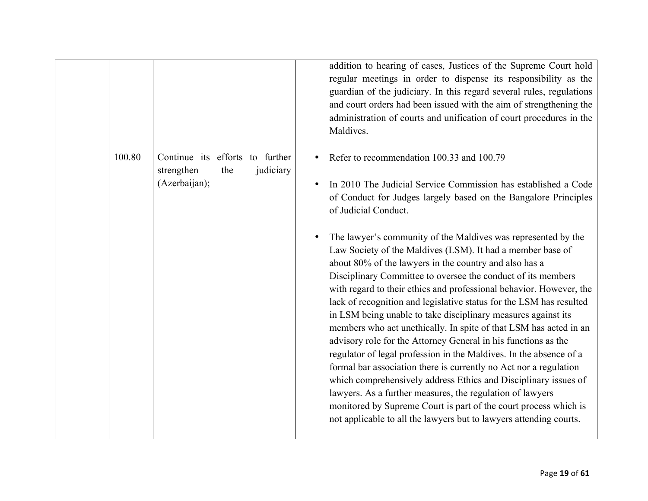|        |                                                                       |           | addition to hearing of cases, Justices of the Supreme Court hold<br>regular meetings in order to dispense its responsibility as the<br>guardian of the judiciary. In this regard several rules, regulations<br>and court orders had been issued with the aim of strengthening the<br>administration of courts and unification of court procedures in the<br>Maldives.                                                                                                                                                                                                                                                                                                                                                                                                                                                                                                                                                                                                                                                                                                                                                                                                                                                                      |
|--------|-----------------------------------------------------------------------|-----------|--------------------------------------------------------------------------------------------------------------------------------------------------------------------------------------------------------------------------------------------------------------------------------------------------------------------------------------------------------------------------------------------------------------------------------------------------------------------------------------------------------------------------------------------------------------------------------------------------------------------------------------------------------------------------------------------------------------------------------------------------------------------------------------------------------------------------------------------------------------------------------------------------------------------------------------------------------------------------------------------------------------------------------------------------------------------------------------------------------------------------------------------------------------------------------------------------------------------------------------------|
| 100.80 | Continue its efforts to further<br>strengthen<br>the<br>(Azerbaijan); | judiciary | Refer to recommendation 100.33 and 100.79<br>In 2010 The Judicial Service Commission has established a Code<br>of Conduct for Judges largely based on the Bangalore Principles<br>of Judicial Conduct.<br>The lawyer's community of the Maldives was represented by the<br>Law Society of the Maldives (LSM). It had a member base of<br>about 80% of the lawyers in the country and also has a<br>Disciplinary Committee to oversee the conduct of its members<br>with regard to their ethics and professional behavior. However, the<br>lack of recognition and legislative status for the LSM has resulted<br>in LSM being unable to take disciplinary measures against its<br>members who act unethically. In spite of that LSM has acted in an<br>advisory role for the Attorney General in his functions as the<br>regulator of legal profession in the Maldives. In the absence of a<br>formal bar association there is currently no Act nor a regulation<br>which comprehensively address Ethics and Disciplinary issues of<br>lawyers. As a further measures, the regulation of lawyers<br>monitored by Supreme Court is part of the court process which is<br>not applicable to all the lawyers but to lawyers attending courts. |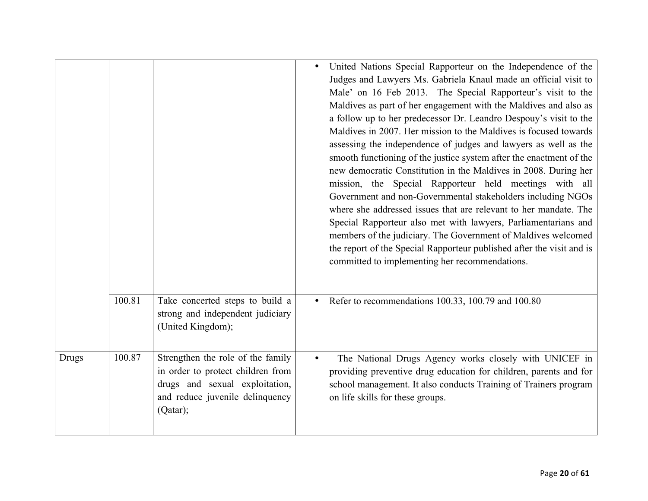|              |        |                                                                                                                                                         | United Nations Special Rapporteur on the Independence of the<br>Judges and Lawyers Ms. Gabriela Knaul made an official visit to<br>Male' on 16 Feb 2013. The Special Rapporteur's visit to the<br>Maldives as part of her engagement with the Maldives and also as<br>a follow up to her predecessor Dr. Leandro Despouy's visit to the<br>Maldives in 2007. Her mission to the Maldives is focused towards<br>assessing the independence of judges and lawyers as well as the<br>smooth functioning of the justice system after the enactment of the<br>new democratic Constitution in the Maldives in 2008. During her<br>mission, the Special Rapporteur held meetings with all<br>Government and non-Governmental stakeholders including NGOs<br>where she addressed issues that are relevant to her mandate. The<br>Special Rapporteur also met with lawyers, Parliamentarians and<br>members of the judiciary. The Government of Maldives welcomed<br>the report of the Special Rapporteur published after the visit and is<br>committed to implementing her recommendations. |
|--------------|--------|---------------------------------------------------------------------------------------------------------------------------------------------------------|-------------------------------------------------------------------------------------------------------------------------------------------------------------------------------------------------------------------------------------------------------------------------------------------------------------------------------------------------------------------------------------------------------------------------------------------------------------------------------------------------------------------------------------------------------------------------------------------------------------------------------------------------------------------------------------------------------------------------------------------------------------------------------------------------------------------------------------------------------------------------------------------------------------------------------------------------------------------------------------------------------------------------------------------------------------------------------------|
|              | 100.81 | Take concerted steps to build a<br>strong and independent judiciary<br>(United Kingdom);                                                                | Refer to recommendations 100.33, 100.79 and 100.80<br>$\bullet$                                                                                                                                                                                                                                                                                                                                                                                                                                                                                                                                                                                                                                                                                                                                                                                                                                                                                                                                                                                                                     |
| <b>Drugs</b> | 100.87 | Strengthen the role of the family<br>in order to protect children from<br>drugs and sexual exploitation,<br>and reduce juvenile delinquency<br>(Qatar); | The National Drugs Agency works closely with UNICEF in<br>providing preventive drug education for children, parents and for<br>school management. It also conducts Training of Trainers program<br>on life skills for these groups.                                                                                                                                                                                                                                                                                                                                                                                                                                                                                                                                                                                                                                                                                                                                                                                                                                                 |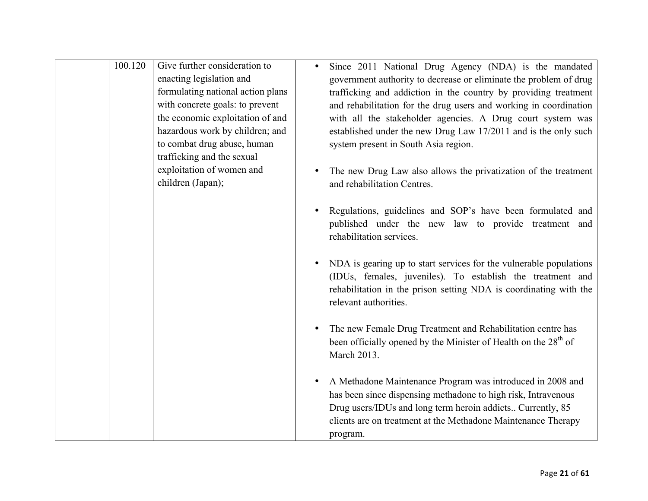| 100.120 | Give further consideration to<br>enacting legislation and<br>formulating national action plans<br>with concrete goals: to prevent<br>the economic exploitation of and<br>hazardous work by children; and<br>to combat drug abuse, human<br>trafficking and the sexual<br>exploitation of women and<br>children (Japan); | Since 2011 National Drug Agency (NDA) is the mandated<br>government authority to decrease or eliminate the problem of drug<br>trafficking and addiction in the country by providing treatment<br>and rehabilitation for the drug users and working in coordination<br>with all the stakeholder agencies. A Drug court system was<br>established under the new Drug Law 17/2011 and is the only such<br>system present in South Asia region.<br>The new Drug Law also allows the privatization of the treatment<br>and rehabilitation Centres.<br>Regulations, guidelines and SOP's have been formulated and<br>published under the new law to provide treatment and<br>rehabilitation services. |
|---------|-------------------------------------------------------------------------------------------------------------------------------------------------------------------------------------------------------------------------------------------------------------------------------------------------------------------------|-------------------------------------------------------------------------------------------------------------------------------------------------------------------------------------------------------------------------------------------------------------------------------------------------------------------------------------------------------------------------------------------------------------------------------------------------------------------------------------------------------------------------------------------------------------------------------------------------------------------------------------------------------------------------------------------------|
|         |                                                                                                                                                                                                                                                                                                                         | NDA is gearing up to start services for the vulnerable populations<br>(IDUs, females, juveniles). To establish the treatment and<br>rehabilitation in the prison setting NDA is coordinating with the<br>relevant authorities.                                                                                                                                                                                                                                                                                                                                                                                                                                                                  |
|         |                                                                                                                                                                                                                                                                                                                         | The new Female Drug Treatment and Rehabilitation centre has<br>been officially opened by the Minister of Health on the 28 <sup>th</sup> of<br>March 2013.                                                                                                                                                                                                                                                                                                                                                                                                                                                                                                                                       |
|         |                                                                                                                                                                                                                                                                                                                         | A Methadone Maintenance Program was introduced in 2008 and<br>has been since dispensing methadone to high risk, Intravenous<br>Drug users/IDUs and long term heroin addicts Currently, 85<br>clients are on treatment at the Methadone Maintenance Therapy<br>program.                                                                                                                                                                                                                                                                                                                                                                                                                          |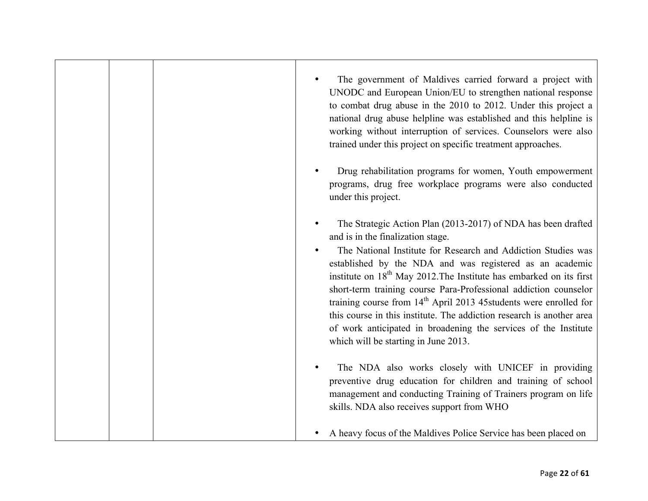|  | The government of Maldives carried forward a project with<br>UNODC and European Union/EU to strengthen national response<br>to combat drug abuse in the 2010 to 2012. Under this project a<br>national drug abuse helpline was established and this helpline is<br>working without interruption of services. Counselors were also<br>trained under this project on specific treatment approaches.                                                                                                                                                                                                                                                  |
|--|----------------------------------------------------------------------------------------------------------------------------------------------------------------------------------------------------------------------------------------------------------------------------------------------------------------------------------------------------------------------------------------------------------------------------------------------------------------------------------------------------------------------------------------------------------------------------------------------------------------------------------------------------|
|  | Drug rehabilitation programs for women, Youth empowerment<br>programs, drug free workplace programs were also conducted<br>under this project.                                                                                                                                                                                                                                                                                                                                                                                                                                                                                                     |
|  | The Strategic Action Plan (2013-2017) of NDA has been drafted<br>and is in the finalization stage.<br>The National Institute for Research and Addiction Studies was<br>established by the NDA and was registered as an academic<br>institute on 18 <sup>th</sup> May 2012. The Institute has embarked on its first<br>short-term training course Para-Professional addiction counselor<br>training course from $14th$ April 2013 45 students were enrolled for<br>this course in this institute. The addiction research is another area<br>of work anticipated in broadening the services of the Institute<br>which will be starting in June 2013. |
|  | The NDA also works closely with UNICEF in providing<br>preventive drug education for children and training of school<br>management and conducting Training of Trainers program on life<br>skills. NDA also receives support from WHO                                                                                                                                                                                                                                                                                                                                                                                                               |
|  | A heavy focus of the Maldives Police Service has been placed on                                                                                                                                                                                                                                                                                                                                                                                                                                                                                                                                                                                    |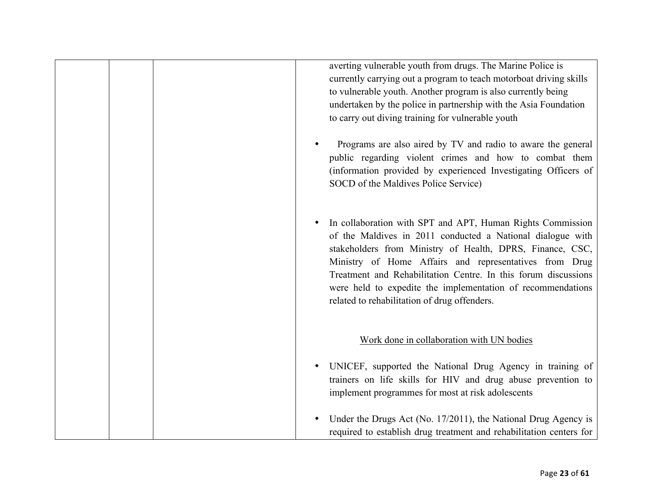|  | averting vulnerable youth from drugs. The Marine Police is<br>currently carrying out a program to teach motorboat driving skills<br>to vulnerable youth. Another program is also currently being<br>undertaken by the police in partnership with the Asia Foundation<br>to carry out diving training for vulnerable youth                                                                                                        |
|--|----------------------------------------------------------------------------------------------------------------------------------------------------------------------------------------------------------------------------------------------------------------------------------------------------------------------------------------------------------------------------------------------------------------------------------|
|  | Programs are also aired by TV and radio to aware the general<br>public regarding violent crimes and how to combat them<br>(information provided by experienced Investigating Officers of<br>SOCD of the Maldives Police Service)                                                                                                                                                                                                 |
|  | In collaboration with SPT and APT, Human Rights Commission<br>of the Maldives in 2011 conducted a National dialogue with<br>stakeholders from Ministry of Health, DPRS, Finance, CSC,<br>Ministry of Home Affairs and representatives from Drug<br>Treatment and Rehabilitation Centre. In this forum discussions<br>were held to expedite the implementation of recommendations<br>related to rehabilitation of drug offenders. |
|  | Work done in collaboration with UN bodies                                                                                                                                                                                                                                                                                                                                                                                        |
|  | UNICEF, supported the National Drug Agency in training of<br>trainers on life skills for HIV and drug abuse prevention to<br>implement programmes for most at risk adolescents                                                                                                                                                                                                                                                   |
|  | Under the Drugs Act (No. 17/2011), the National Drug Agency is<br>required to establish drug treatment and rehabilitation centers for                                                                                                                                                                                                                                                                                            |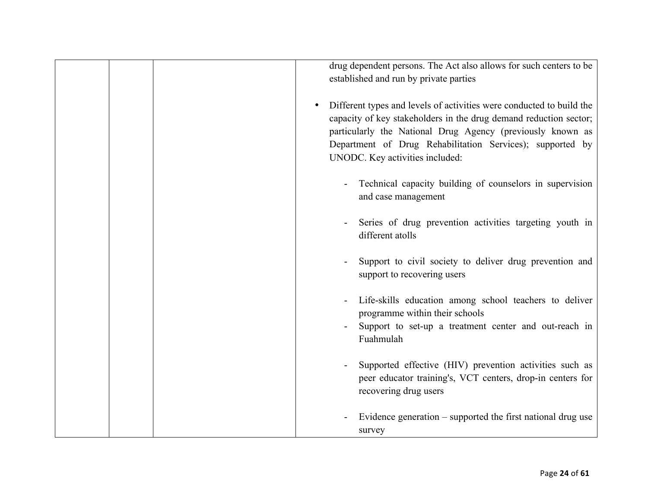|  | drug dependent persons. The Act also allows for such centers to be<br>established and run by private parties                                                                                                                                                                                            |
|--|---------------------------------------------------------------------------------------------------------------------------------------------------------------------------------------------------------------------------------------------------------------------------------------------------------|
|  | Different types and levels of activities were conducted to build the<br>capacity of key stakeholders in the drug demand reduction sector;<br>particularly the National Drug Agency (previously known as<br>Department of Drug Rehabilitation Services); supported by<br>UNODC. Key activities included: |
|  | Technical capacity building of counselors in supervision<br>and case management                                                                                                                                                                                                                         |
|  | Series of drug prevention activities targeting youth in<br>different atolls                                                                                                                                                                                                                             |
|  | Support to civil society to deliver drug prevention and<br>support to recovering users                                                                                                                                                                                                                  |
|  | Life-skills education among school teachers to deliver<br>programme within their schools<br>Support to set-up a treatment center and out-reach in<br>Fuahmulah                                                                                                                                          |
|  | Supported effective (HIV) prevention activities such as<br>peer educator training's, VCT centers, drop-in centers for<br>recovering drug users                                                                                                                                                          |
|  | Evidence generation – supported the first national drug use<br>survey                                                                                                                                                                                                                                   |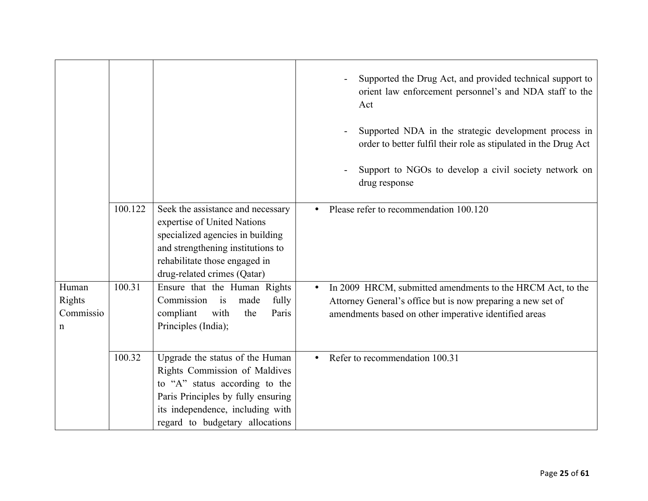|                                   |         |                                                                                                                                                                                                                 | Supported the Drug Act, and provided technical support to<br>orient law enforcement personnel's and NDA staff to the<br>Act<br>Supported NDA in the strategic development process in<br>order to better fulfil their role as stipulated in the Drug Act<br>Support to NGOs to develop a civil society network on<br>drug response |
|-----------------------------------|---------|-----------------------------------------------------------------------------------------------------------------------------------------------------------------------------------------------------------------|-----------------------------------------------------------------------------------------------------------------------------------------------------------------------------------------------------------------------------------------------------------------------------------------------------------------------------------|
|                                   | 100.122 | Seek the assistance and necessary<br>expertise of United Nations<br>specialized agencies in building<br>and strengthening institutions to<br>rehabilitate those engaged in<br>drug-related crimes (Qatar)       | Please refer to recommendation 100.120                                                                                                                                                                                                                                                                                            |
| Human<br>Rights<br>Commissio<br>n | 100.31  | Ensure that the Human Rights<br>Commission<br>fully<br>i <sub>S</sub><br>made<br>compliant<br>with<br>Paris<br>the<br>Principles (India);                                                                       | In 2009 HRCM, submitted amendments to the HRCM Act, to the<br>$\bullet$<br>Attorney General's office but is now preparing a new set of<br>amendments based on other imperative identified areas                                                                                                                                   |
|                                   | 100.32  | Upgrade the status of the Human<br>Rights Commission of Maldives<br>to "A" status according to the<br>Paris Principles by fully ensuring<br>its independence, including with<br>regard to budgetary allocations | Refer to recommendation 100.31<br>$\bullet$                                                                                                                                                                                                                                                                                       |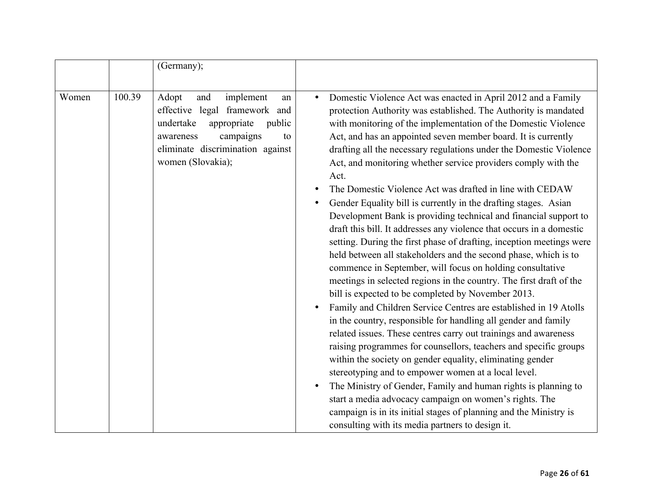|       |        | (Germany);                                                                                                                                                                                      |                                                                                                                                                                                                                                                                                                                                                                                                                                                                                                                                                                                                                                                                                                                                                                                                                                                                                                                                                                                                                                                                                                                                                                                                                                            |
|-------|--------|-------------------------------------------------------------------------------------------------------------------------------------------------------------------------------------------------|--------------------------------------------------------------------------------------------------------------------------------------------------------------------------------------------------------------------------------------------------------------------------------------------------------------------------------------------------------------------------------------------------------------------------------------------------------------------------------------------------------------------------------------------------------------------------------------------------------------------------------------------------------------------------------------------------------------------------------------------------------------------------------------------------------------------------------------------------------------------------------------------------------------------------------------------------------------------------------------------------------------------------------------------------------------------------------------------------------------------------------------------------------------------------------------------------------------------------------------------|
|       |        |                                                                                                                                                                                                 |                                                                                                                                                                                                                                                                                                                                                                                                                                                                                                                                                                                                                                                                                                                                                                                                                                                                                                                                                                                                                                                                                                                                                                                                                                            |
| Women | 100.39 | Adopt<br>implement<br>and<br>an<br>effective legal framework and<br>undertake<br>public<br>appropriate<br>campaigns<br>awareness<br>to<br>eliminate discrimination against<br>women (Slovakia); | Domestic Violence Act was enacted in April 2012 and a Family<br>protection Authority was established. The Authority is mandated<br>with monitoring of the implementation of the Domestic Violence<br>Act, and has an appointed seven member board. It is currently<br>drafting all the necessary regulations under the Domestic Violence<br>Act, and monitoring whether service providers comply with the<br>Act.<br>The Domestic Violence Act was drafted in line with CEDAW<br>Gender Equality bill is currently in the drafting stages. Asian<br>Development Bank is providing technical and financial support to<br>draft this bill. It addresses any violence that occurs in a domestic<br>setting. During the first phase of drafting, inception meetings were<br>held between all stakeholders and the second phase, which is to<br>commence in September, will focus on holding consultative<br>meetings in selected regions in the country. The first draft of the<br>bill is expected to be completed by November 2013.<br>Family and Children Service Centres are established in 19 Atolls<br>in the country, responsible for handling all gender and family<br>related issues. These centres carry out trainings and awareness |
|       |        |                                                                                                                                                                                                 | raising programmes for counsellors, teachers and specific groups<br>within the society on gender equality, eliminating gender<br>stereotyping and to empower women at a local level.                                                                                                                                                                                                                                                                                                                                                                                                                                                                                                                                                                                                                                                                                                                                                                                                                                                                                                                                                                                                                                                       |
|       |        |                                                                                                                                                                                                 | The Ministry of Gender, Family and human rights is planning to                                                                                                                                                                                                                                                                                                                                                                                                                                                                                                                                                                                                                                                                                                                                                                                                                                                                                                                                                                                                                                                                                                                                                                             |
|       |        |                                                                                                                                                                                                 | start a media advocacy campaign on women's rights. The                                                                                                                                                                                                                                                                                                                                                                                                                                                                                                                                                                                                                                                                                                                                                                                                                                                                                                                                                                                                                                                                                                                                                                                     |
|       |        |                                                                                                                                                                                                 | campaign is in its initial stages of planning and the Ministry is<br>consulting with its media partners to design it.                                                                                                                                                                                                                                                                                                                                                                                                                                                                                                                                                                                                                                                                                                                                                                                                                                                                                                                                                                                                                                                                                                                      |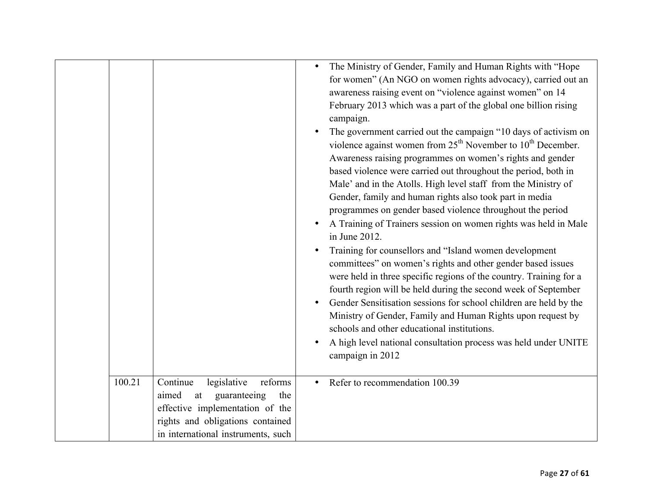| 100.21 | Continue<br>legislative<br>reforms                                                                                                              | The Ministry of Gender, Family and Human Rights with "Hope<br>$\bullet$<br>for women" (An NGO on women rights advocacy), carried out an<br>awareness raising event on "violence against women" on 14<br>February 2013 which was a part of the global one billion rising<br>campaign.<br>The government carried out the campaign "10 days of activism on<br>violence against women from $25th$ November to $10th$ December.<br>Awareness raising programmes on women's rights and gender<br>based violence were carried out throughout the period, both in<br>Male' and in the Atolls. High level staff from the Ministry of<br>Gender, family and human rights also took part in media<br>programmes on gender based violence throughout the period<br>A Training of Trainers session on women rights was held in Male<br>in June 2012.<br>Training for counsellors and "Island women development<br>committees" on women's rights and other gender based issues<br>were held in three specific regions of the country. Training for a<br>fourth region will be held during the second week of September<br>Gender Sensitisation sessions for school children are held by the<br>Ministry of Gender, Family and Human Rights upon request by<br>schools and other educational institutions.<br>A high level national consultation process was held under UNITE<br>campaign in 2012<br>Refer to recommendation 100.39 |
|--------|-------------------------------------------------------------------------------------------------------------------------------------------------|----------------------------------------------------------------------------------------------------------------------------------------------------------------------------------------------------------------------------------------------------------------------------------------------------------------------------------------------------------------------------------------------------------------------------------------------------------------------------------------------------------------------------------------------------------------------------------------------------------------------------------------------------------------------------------------------------------------------------------------------------------------------------------------------------------------------------------------------------------------------------------------------------------------------------------------------------------------------------------------------------------------------------------------------------------------------------------------------------------------------------------------------------------------------------------------------------------------------------------------------------------------------------------------------------------------------------------------------------------------------------------------------------------------------|
|        | aimed<br>guaranteeing<br>at<br>the<br>effective implementation of the<br>rights and obligations contained<br>in international instruments, such |                                                                                                                                                                                                                                                                                                                                                                                                                                                                                                                                                                                                                                                                                                                                                                                                                                                                                                                                                                                                                                                                                                                                                                                                                                                                                                                                                                                                                      |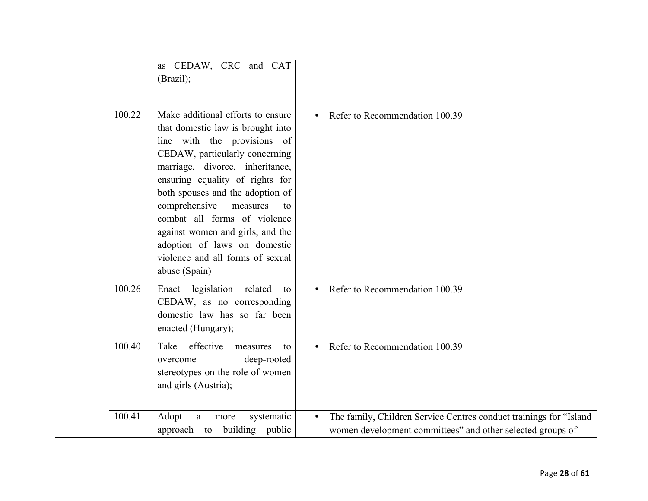|        | as CEDAW, CRC and CAT<br>(Brazil);                                                                                                                                                                                                                                                                                                                                                                                                            |                                                                                                                                               |
|--------|-----------------------------------------------------------------------------------------------------------------------------------------------------------------------------------------------------------------------------------------------------------------------------------------------------------------------------------------------------------------------------------------------------------------------------------------------|-----------------------------------------------------------------------------------------------------------------------------------------------|
| 100.22 | Make additional efforts to ensure<br>that domestic law is brought into<br>line with the provisions of<br>CEDAW, particularly concerning<br>marriage, divorce, inheritance,<br>ensuring equality of rights for<br>both spouses and the adoption of<br>comprehensive<br>measures<br>to<br>combat all forms of violence<br>against women and girls, and the<br>adoption of laws on domestic<br>violence and all forms of sexual<br>abuse (Spain) | Refer to Recommendation 100.39                                                                                                                |
| 100.26 | Enact legislation related<br>to<br>CEDAW, as no corresponding<br>domestic law has so far been<br>enacted (Hungary);                                                                                                                                                                                                                                                                                                                           | Refer to Recommendation 100.39                                                                                                                |
| 100.40 | effective<br>Take<br>measures<br>to<br>deep-rooted<br>overcome<br>stereotypes on the role of women<br>and girls (Austria);                                                                                                                                                                                                                                                                                                                    | Refer to Recommendation 100.39                                                                                                                |
| 100.41 | Adopt<br>a<br>systematic<br>more<br>approach to building public                                                                                                                                                                                                                                                                                                                                                                               | The family, Children Service Centres conduct trainings for "Island<br>$\bullet$<br>women development committees" and other selected groups of |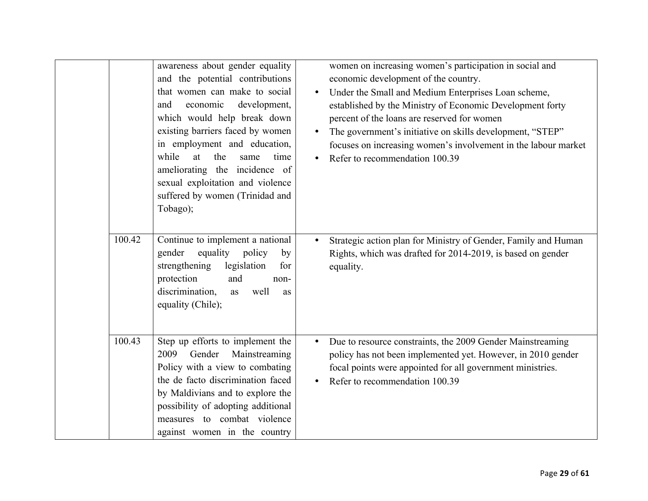|        | awareness about gender equality<br>and the potential contributions<br>that women can make to social<br>economic<br>development,<br>and<br>which would help break down<br>existing barriers faced by women<br>in employment and education,<br>while<br>at<br>the<br>same<br>time<br>ameliorating the incidence of<br>sexual exploitation and violence<br>suffered by women (Trinidad and<br>Tobago); | $\bullet$<br>$\bullet$ | women on increasing women's participation in social and<br>economic development of the country.<br>Under the Small and Medium Enterprises Loan scheme,<br>established by the Ministry of Economic Development forty<br>percent of the loans are reserved for women<br>The government's initiative on skills development, "STEP"<br>focuses on increasing women's involvement in the labour market<br>Refer to recommendation 100.39 |
|--------|-----------------------------------------------------------------------------------------------------------------------------------------------------------------------------------------------------------------------------------------------------------------------------------------------------------------------------------------------------------------------------------------------------|------------------------|-------------------------------------------------------------------------------------------------------------------------------------------------------------------------------------------------------------------------------------------------------------------------------------------------------------------------------------------------------------------------------------------------------------------------------------|
| 100.42 | Continue to implement a national<br>equality<br>policy<br>gender<br>by<br>legislation<br>for<br>strengthening<br>protection<br>and<br>non-<br>discrimination,<br>well<br>as<br>as<br>equality (Chile);                                                                                                                                                                                              | $\bullet$              | Strategic action plan for Ministry of Gender, Family and Human<br>Rights, which was drafted for 2014-2019, is based on gender<br>equality.                                                                                                                                                                                                                                                                                          |
| 100.43 | Step up efforts to implement the<br>Gender<br>Mainstreaming<br>2009<br>Policy with a view to combating<br>the de facto discrimination faced<br>by Maldivians and to explore the<br>possibility of adopting additional<br>measures to combat violence<br>against women in the country                                                                                                                |                        | Due to resource constraints, the 2009 Gender Mainstreaming<br>policy has not been implemented yet. However, in 2010 gender<br>focal points were appointed for all government ministries.<br>Refer to recommendation 100.39                                                                                                                                                                                                          |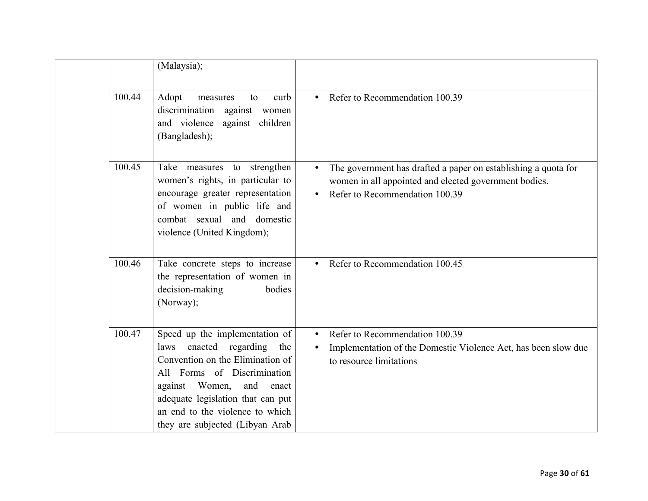|        | (Malaysia);                                                                                                                                                                                                                                                                           |                                                                                                                                                           |
|--------|---------------------------------------------------------------------------------------------------------------------------------------------------------------------------------------------------------------------------------------------------------------------------------------|-----------------------------------------------------------------------------------------------------------------------------------------------------------|
| 100.44 | Adopt<br>curb<br>measures<br>to<br>discrimination against<br>women<br>and violence against children<br>(Bangladesh);                                                                                                                                                                  | Refer to Recommendation 100.39                                                                                                                            |
| 100.45 | Take measures to strengthen<br>women's rights, in particular to<br>encourage greater representation<br>of women in public life and<br>combat sexual and domestic<br>violence (United Kingdom);                                                                                        | The government has drafted a paper on establishing a quota for<br>women in all appointed and elected government bodies.<br>Refer to Recommendation 100.39 |
| 100.46 | Take concrete steps to increase<br>the representation of women in<br>decision-making<br>bodies<br>(Norway);                                                                                                                                                                           | Refer to Recommendation 100.45                                                                                                                            |
| 100.47 | Speed up the implementation of<br>enacted regarding<br>the<br>laws<br>Convention on the Elimination of<br>All Forms of Discrimination<br>Women,<br>and<br>against<br>enact<br>adequate legislation that can put<br>an end to the violence to which<br>they are subjected (Libyan Arab | Refer to Recommendation 100.39<br>Implementation of the Domestic Violence Act, has been slow due<br>to resource limitations                               |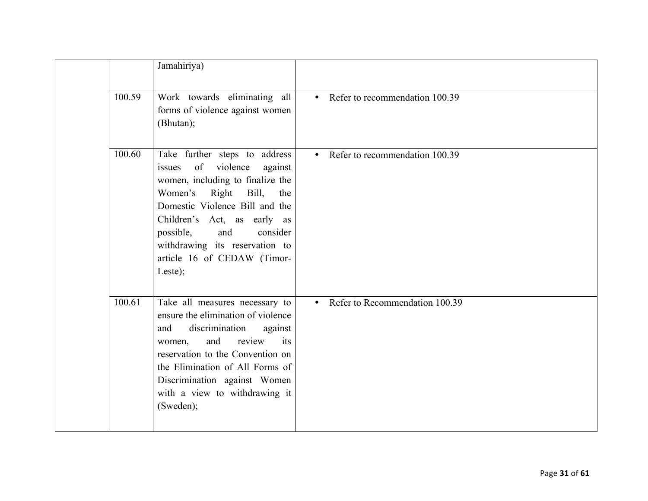|        | Jamahiriya)                                                                                                                                                                                                                                                                                                         |                                  |
|--------|---------------------------------------------------------------------------------------------------------------------------------------------------------------------------------------------------------------------------------------------------------------------------------------------------------------------|----------------------------------|
| 100.59 | Work towards eliminating all<br>forms of violence against women<br>(Bhutan);                                                                                                                                                                                                                                        | • Refer to recommendation 100.39 |
| 100.60 | Take further steps to address<br>of violence<br>against<br>issues<br>women, including to finalize the<br>Women's Right<br>Bill,<br>the<br>Domestic Violence Bill and the<br>Children's Act, as early as<br>possible,<br>and<br>consider<br>withdrawing its reservation to<br>article 16 of CEDAW (Timor-<br>Leste); | • Refer to recommendation 100.39 |
| 100.61 | Take all measures necessary to<br>ensure the elimination of violence<br>discrimination<br>against<br>and<br>and<br>review<br>its<br>women,<br>reservation to the Convention on<br>the Elimination of All Forms of<br>Discrimination against Women<br>with a view to withdrawing it<br>(Sweden);                     | • Refer to Recommendation 100.39 |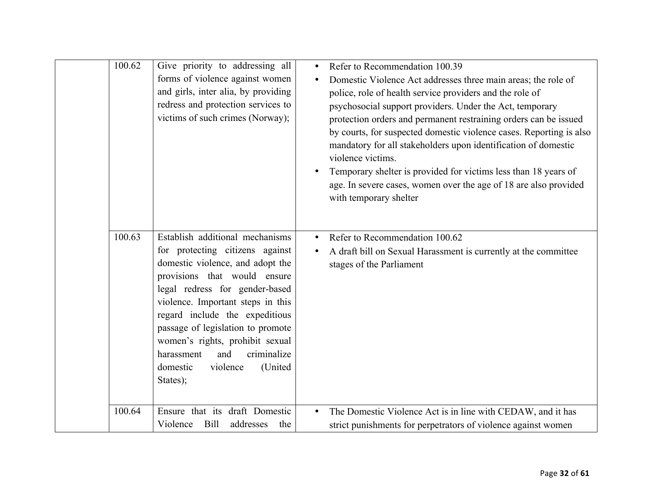| 100.62<br>100.63 | Give priority to addressing all<br>forms of violence against women<br>and girls, inter alia, by providing<br>redress and protection services to<br>victims of such crimes (Norway);<br>Establish additional mechanisms                                                                                                                                                  | $\bullet$ | Refer to Recommendation 100.39<br>Domestic Violence Act addresses three main areas; the role of<br>police, role of health service providers and the role of<br>psychosocial support providers. Under the Act, temporary<br>protection orders and permanent restraining orders can be issued<br>by courts, for suspected domestic violence cases. Reporting is also<br>mandatory for all stakeholders upon identification of domestic<br>violence victims.<br>Temporary shelter is provided for victims less than 18 years of<br>age. In severe cases, women over the age of 18 are also provided<br>with temporary shelter<br>Refer to Recommendation 100.62 |
|------------------|-------------------------------------------------------------------------------------------------------------------------------------------------------------------------------------------------------------------------------------------------------------------------------------------------------------------------------------------------------------------------|-----------|--------------------------------------------------------------------------------------------------------------------------------------------------------------------------------------------------------------------------------------------------------------------------------------------------------------------------------------------------------------------------------------------------------------------------------------------------------------------------------------------------------------------------------------------------------------------------------------------------------------------------------------------------------------|
|                  | for protecting citizens against<br>domestic violence, and adopt the<br>provisions that would ensure<br>legal redress for gender-based<br>violence. Important steps in this<br>regard include the expeditious<br>passage of legislation to promote<br>women's rights, prohibit sexual<br>criminalize<br>and<br>harassment<br>(United<br>domestic<br>violence<br>States); |           | A draft bill on Sexual Harassment is currently at the committee<br>stages of the Parliament                                                                                                                                                                                                                                                                                                                                                                                                                                                                                                                                                                  |
| 100.64           | Ensure that its draft Domestic<br>Violence<br>Bill<br>addresses<br>the                                                                                                                                                                                                                                                                                                  | $\bullet$ | The Domestic Violence Act is in line with CEDAW, and it has<br>strict punishments for perpetrators of violence against women                                                                                                                                                                                                                                                                                                                                                                                                                                                                                                                                 |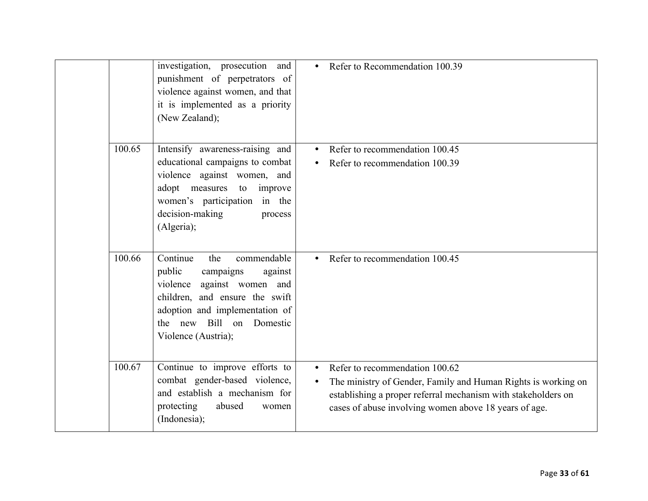|  |        | investigation, prosecution and<br>punishment of perpetrators of<br>violence against women, and that<br>it is implemented as a priority<br>(New Zealand);                                                                 | Refer to Recommendation 100.39<br>$\bullet$                                                                                                                                                                                                         |
|--|--------|--------------------------------------------------------------------------------------------------------------------------------------------------------------------------------------------------------------------------|-----------------------------------------------------------------------------------------------------------------------------------------------------------------------------------------------------------------------------------------------------|
|  | 100.65 | Intensify awareness-raising and<br>educational campaigns to combat<br>violence against women, and<br>adopt measures<br>to<br>improve<br>women's participation in the<br>decision-making<br>process<br>(Algeria);         | Refer to recommendation 100.45<br>Refer to recommendation 100.39                                                                                                                                                                                    |
|  | 100.66 | Continue<br>commendable<br>the<br>public<br>campaigns<br>against<br>against women and<br>violence<br>children, and ensure the swift<br>adoption and implementation of<br>the new Bill on Domestic<br>Violence (Austria); | Refer to recommendation 100.45                                                                                                                                                                                                                      |
|  | 100.67 | Continue to improve efforts to<br>combat gender-based violence,<br>and establish a mechanism for<br>protecting<br>abused<br>women<br>(Indonesia);                                                                        | Refer to recommendation 100.62<br>$\bullet$<br>The ministry of Gender, Family and Human Rights is working on<br>$\bullet$<br>establishing a proper referral mechanism with stakeholders on<br>cases of abuse involving women above 18 years of age. |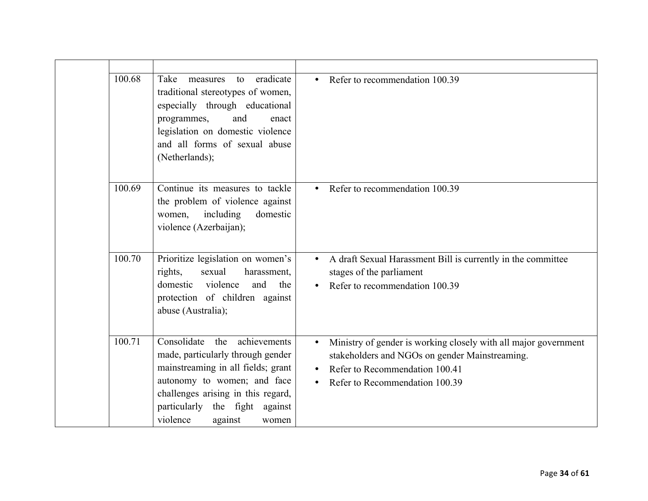| 100.68 | eradicate<br>Take<br>measures<br>to<br>traditional stereotypes of women,<br>especially through educational<br>and<br>programmes,<br>enact<br>legislation on domestic violence<br>and all forms of sexual abuse<br>(Netherlands);                           | Refer to recommendation 100.39<br>$\bullet$                                                                                                                                           |
|--------|------------------------------------------------------------------------------------------------------------------------------------------------------------------------------------------------------------------------------------------------------------|---------------------------------------------------------------------------------------------------------------------------------------------------------------------------------------|
| 100.69 | Continue its measures to tackle<br>the problem of violence against<br>including<br>domestic<br>women,<br>violence (Azerbaijan);                                                                                                                            | Refer to recommendation 100.39<br>$\bullet$                                                                                                                                           |
| 100.70 | Prioritize legislation on women's<br>rights,<br>sexual<br>harassment,<br>violence<br>domestic<br>and<br>the<br>protection of children against<br>abuse (Australia);                                                                                        | A draft Sexual Harassment Bill is currently in the committee<br>stages of the parliament<br>Refer to recommendation 100.39                                                            |
| 100.71 | Consolidate<br>achievements<br>the<br>made, particularly through gender<br>mainstreaming in all fields; grant<br>autonomy to women; and face<br>challenges arising in this regard,<br>the fight<br>particularly<br>against<br>violence<br>against<br>women | Ministry of gender is working closely with all major government<br>stakeholders and NGOs on gender Mainstreaming.<br>Refer to Recommendation 100.41<br>Refer to Recommendation 100.39 |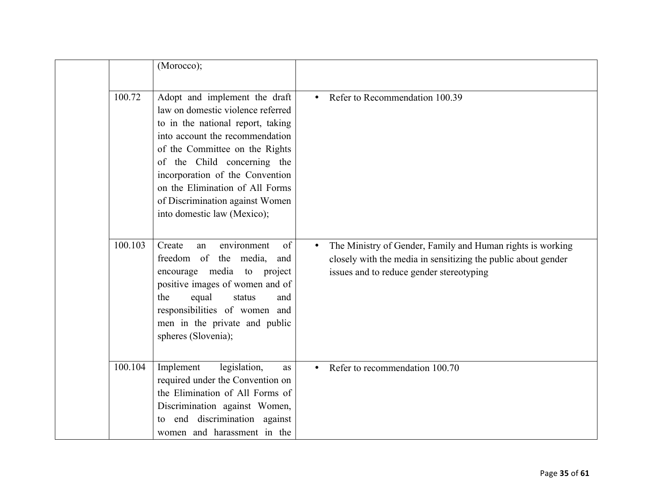|         | (Morocco);                                                                                                                                                                                                                                                                                                                                          |                                                                                                                                                                                      |
|---------|-----------------------------------------------------------------------------------------------------------------------------------------------------------------------------------------------------------------------------------------------------------------------------------------------------------------------------------------------------|--------------------------------------------------------------------------------------------------------------------------------------------------------------------------------------|
| 100.72  | Adopt and implement the draft<br>law on domestic violence referred<br>to in the national report, taking<br>into account the recommendation<br>of the Committee on the Rights<br>of the Child concerning the<br>incorporation of the Convention<br>on the Elimination of All Forms<br>of Discrimination against Women<br>into domestic law (Mexico); | Refer to Recommendation 100.39<br>$\bullet$                                                                                                                                          |
| 100.103 | environment<br>of<br>Create<br>an<br>freedom of the media,<br>and<br>encourage media to project<br>positive images of women and of<br>the<br>equal<br>status<br>and<br>responsibilities of women and<br>men in the private and public<br>spheres (Slovenia);                                                                                        | The Ministry of Gender, Family and Human rights is working<br>$\bullet$<br>closely with the media in sensitizing the public about gender<br>issues and to reduce gender stereotyping |
| 100.104 | Implement<br>legislation,<br>as<br>required under the Convention on<br>the Elimination of All Forms of<br>Discrimination against Women,<br>end discrimination against<br>to<br>women and harassment in the                                                                                                                                          | Refer to recommendation 100.70                                                                                                                                                       |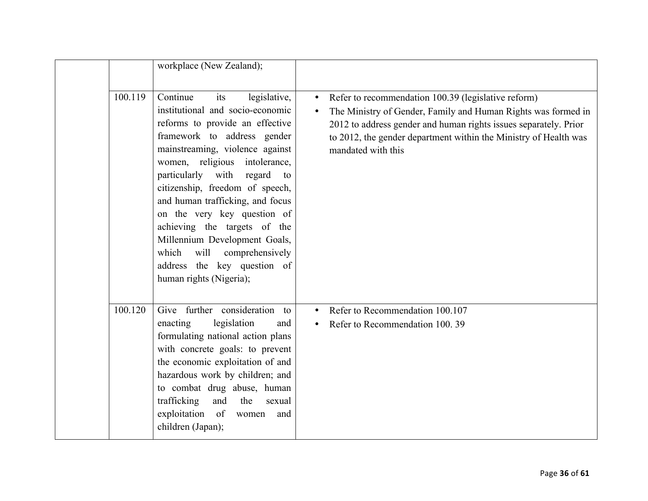|         | workplace (New Zealand);                                                                                                                                                                                                                                                                                                                                                                                                                                                                                               |                                                                                                                                                                                                                                                                                                              |
|---------|------------------------------------------------------------------------------------------------------------------------------------------------------------------------------------------------------------------------------------------------------------------------------------------------------------------------------------------------------------------------------------------------------------------------------------------------------------------------------------------------------------------------|--------------------------------------------------------------------------------------------------------------------------------------------------------------------------------------------------------------------------------------------------------------------------------------------------------------|
| 100.119 | Continue<br>legislative,<br>its<br>institutional and socio-economic<br>reforms to provide an effective<br>framework to address gender<br>mainstreaming, violence against<br>women, religious<br>intolerance,<br>particularly with<br>regard<br>to<br>citizenship, freedom of speech,<br>and human trafficking, and focus<br>on the very key question of<br>achieving the targets of the<br>Millennium Development Goals,<br>will<br>which<br>comprehensively<br>address the key question of<br>human rights (Nigeria); | Refer to recommendation 100.39 (legislative reform)<br>$\bullet$<br>The Ministry of Gender, Family and Human Rights was formed in<br>$\bullet$<br>2012 to address gender and human rights issues separately. Prior<br>to 2012, the gender department within the Ministry of Health was<br>mandated with this |
| 100.120 | Give further consideration to<br>legislation<br>enacting<br>and<br>formulating national action plans<br>with concrete goals: to prevent<br>the economic exploitation of and<br>hazardous work by children; and<br>to combat drug abuse, human<br>trafficking<br>and<br>the<br>sexual<br>exploitation of<br>women<br>and<br>children (Japan);                                                                                                                                                                           | Refer to Recommendation 100.107<br>$\bullet$<br>Refer to Recommendation 100.39                                                                                                                                                                                                                               |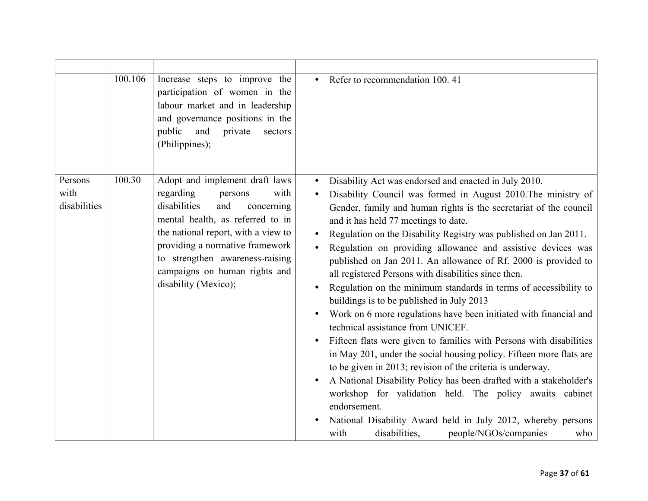|                                 | 100.106 | Increase steps to improve the<br>participation of women in the<br>labour market and in leadership<br>and governance positions in the<br>public<br>and<br>private<br>sectors<br>(Philippines);                                                                                                                 | Refer to recommendation 100.41                                                                                                                                                                                                                                                                                                                                                                                                                                                                                                                                                                                                                                                                                                                                                                                                                                                                                                                                                                                                                                                                                                                                                                                    |
|---------------------------------|---------|---------------------------------------------------------------------------------------------------------------------------------------------------------------------------------------------------------------------------------------------------------------------------------------------------------------|-------------------------------------------------------------------------------------------------------------------------------------------------------------------------------------------------------------------------------------------------------------------------------------------------------------------------------------------------------------------------------------------------------------------------------------------------------------------------------------------------------------------------------------------------------------------------------------------------------------------------------------------------------------------------------------------------------------------------------------------------------------------------------------------------------------------------------------------------------------------------------------------------------------------------------------------------------------------------------------------------------------------------------------------------------------------------------------------------------------------------------------------------------------------------------------------------------------------|
| Persons<br>with<br>disabilities | 100.30  | Adopt and implement draft laws<br>regarding<br>with<br>persons<br>disabilities<br>and<br>concerning<br>mental health, as referred to in<br>the national report, with a view to<br>providing a normative framework<br>to strengthen awareness-raising<br>campaigns on human rights and<br>disability (Mexico); | Disability Act was endorsed and enacted in July 2010.<br>Disability Council was formed in August 2010. The ministry of<br>Gender, family and human rights is the secretariat of the council<br>and it has held 77 meetings to date.<br>Regulation on the Disability Registry was published on Jan 2011.<br>Regulation on providing allowance and assistive devices was<br>published on Jan 2011. An allowance of Rf. 2000 is provided to<br>all registered Persons with disabilities since then.<br>Regulation on the minimum standards in terms of accessibility to<br>buildings is to be published in July 2013<br>Work on 6 more regulations have been initiated with financial and<br>technical assistance from UNICEF.<br>Fifteen flats were given to families with Persons with disabilities<br>in May 201, under the social housing policy. Fifteen more flats are<br>to be given in 2013; revision of the criteria is underway.<br>A National Disability Policy has been drafted with a stakeholder's<br>workshop for validation held. The policy awaits cabinet<br>endorsement.<br>National Disability Award held in July 2012, whereby persons<br>disabilities,<br>people/NGOs/companies<br>with<br>who |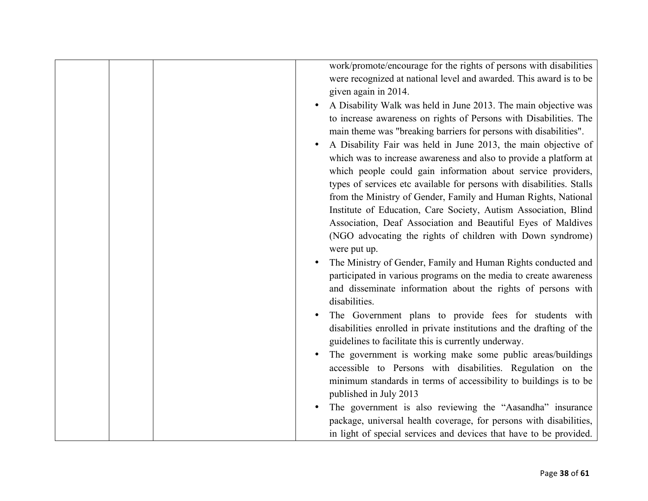|  | work/promote/encourage for the rights of persons with disabilities<br>were recognized at national level and awarded. This award is to be<br>given again in 2014.<br>A Disability Walk was held in June 2013. The main objective was<br>to increase awareness on rights of Persons with Disabilities. The<br>main theme was "breaking barriers for persons with disabilities".<br>A Disability Fair was held in June 2013, the main objective of<br>which was to increase awareness and also to provide a platform at<br>which people could gain information about service providers,<br>types of services etc available for persons with disabilities. Stalls<br>from the Ministry of Gender, Family and Human Rights, National<br>Institute of Education, Care Society, Autism Association, Blind<br>Association, Deaf Association and Beautiful Eyes of Maldives<br>(NGO advocating the rights of children with Down syndrome)<br>were put up.<br>The Ministry of Gender, Family and Human Rights conducted and<br>participated in various programs on the media to create awareness<br>and disseminate information about the rights of persons with<br>disabilities.<br>The Government plans to provide fees for students with<br>disabilities enrolled in private institutions and the drafting of the<br>guidelines to facilitate this is currently underway. |
|--|--------------------------------------------------------------------------------------------------------------------------------------------------------------------------------------------------------------------------------------------------------------------------------------------------------------------------------------------------------------------------------------------------------------------------------------------------------------------------------------------------------------------------------------------------------------------------------------------------------------------------------------------------------------------------------------------------------------------------------------------------------------------------------------------------------------------------------------------------------------------------------------------------------------------------------------------------------------------------------------------------------------------------------------------------------------------------------------------------------------------------------------------------------------------------------------------------------------------------------------------------------------------------------------------------------------------------------------------------------------------|
|  |                                                                                                                                                                                                                                                                                                                                                                                                                                                                                                                                                                                                                                                                                                                                                                                                                                                                                                                                                                                                                                                                                                                                                                                                                                                                                                                                                                    |
|  | The government is working make some public areas/buildings<br>accessible to Persons with disabilities. Regulation on the<br>minimum standards in terms of accessibility to buildings is to be<br>published in July 2013                                                                                                                                                                                                                                                                                                                                                                                                                                                                                                                                                                                                                                                                                                                                                                                                                                                                                                                                                                                                                                                                                                                                            |
|  | The government is also reviewing the "Aasandha" insurance<br>package, universal health coverage, for persons with disabilities,<br>in light of special services and devices that have to be provided.                                                                                                                                                                                                                                                                                                                                                                                                                                                                                                                                                                                                                                                                                                                                                                                                                                                                                                                                                                                                                                                                                                                                                              |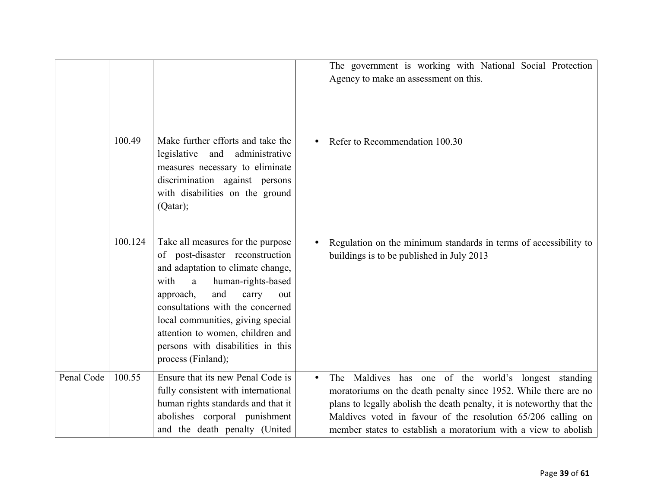|            |         |                                                                                                                                                                                                                                                                                                                                                          | The government is working with National Social Protection<br>Agency to make an assessment on this.                                                                                                                                                                                                                                    |
|------------|---------|----------------------------------------------------------------------------------------------------------------------------------------------------------------------------------------------------------------------------------------------------------------------------------------------------------------------------------------------------------|---------------------------------------------------------------------------------------------------------------------------------------------------------------------------------------------------------------------------------------------------------------------------------------------------------------------------------------|
|            | 100.49  | Make further efforts and take the<br>legislative and<br>administrative<br>measures necessary to eliminate<br>discrimination against persons<br>with disabilities on the ground<br>(Qatar);                                                                                                                                                               | Refer to Recommendation 100.30                                                                                                                                                                                                                                                                                                        |
|            | 100.124 | Take all measures for the purpose<br>of post-disaster reconstruction<br>and adaptation to climate change,<br>with<br>human-rights-based<br>a<br>and<br>approach,<br>carry<br>out<br>consultations with the concerned<br>local communities, giving special<br>attention to women, children and<br>persons with disabilities in this<br>process (Finland); | Regulation on the minimum standards in terms of accessibility to<br>buildings is to be published in July 2013                                                                                                                                                                                                                         |
| Penal Code | 100.55  | Ensure that its new Penal Code is<br>fully consistent with international<br>human rights standards and that it<br>abolishes corporal punishment<br>and the death penalty (United                                                                                                                                                                         | Maldives has one of the world's longest standing<br>The<br>moratoriums on the death penalty since 1952. While there are no<br>plans to legally abolish the death penalty, it is noteworthy that the<br>Maldives voted in favour of the resolution 65/206 calling on<br>member states to establish a moratorium with a view to abolish |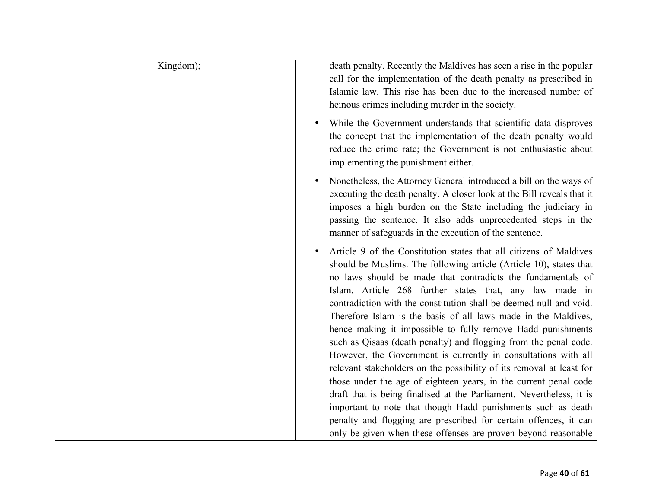| Kingdom); | death penalty. Recently the Maldives has seen a rise in the popular<br>call for the implementation of the death penalty as prescribed in<br>Islamic law. This rise has been due to the increased number of<br>heinous crimes including murder in the society.                                                                                                                                                                                                                                                                                                                                                                                                                                                                                               |
|-----------|-------------------------------------------------------------------------------------------------------------------------------------------------------------------------------------------------------------------------------------------------------------------------------------------------------------------------------------------------------------------------------------------------------------------------------------------------------------------------------------------------------------------------------------------------------------------------------------------------------------------------------------------------------------------------------------------------------------------------------------------------------------|
|           | While the Government understands that scientific data disproves<br>the concept that the implementation of the death penalty would<br>reduce the crime rate; the Government is not enthusiastic about<br>implementing the punishment either.                                                                                                                                                                                                                                                                                                                                                                                                                                                                                                                 |
|           | Nonetheless, the Attorney General introduced a bill on the ways of<br>executing the death penalty. A closer look at the Bill reveals that it<br>imposes a high burden on the State including the judiciary in<br>passing the sentence. It also adds unprecedented steps in the<br>manner of safeguards in the execution of the sentence.                                                                                                                                                                                                                                                                                                                                                                                                                    |
|           | Article 9 of the Constitution states that all citizens of Maldives<br>should be Muslims. The following article (Article 10), states that<br>no laws should be made that contradicts the fundamentals of<br>Islam. Article 268 further states that, any law made in<br>contradiction with the constitution shall be deemed null and void.<br>Therefore Islam is the basis of all laws made in the Maldives,<br>hence making it impossible to fully remove Hadd punishments<br>such as Qisaas (death penalty) and flogging from the penal code.<br>However, the Government is currently in consultations with all<br>relevant stakeholders on the possibility of its removal at least for<br>those under the age of eighteen years, in the current penal code |
|           | draft that is being finalised at the Parliament. Nevertheless, it is<br>important to note that though Hadd punishments such as death<br>penalty and flogging are prescribed for certain offences, it can<br>only be given when these offenses are proven beyond reasonable                                                                                                                                                                                                                                                                                                                                                                                                                                                                                  |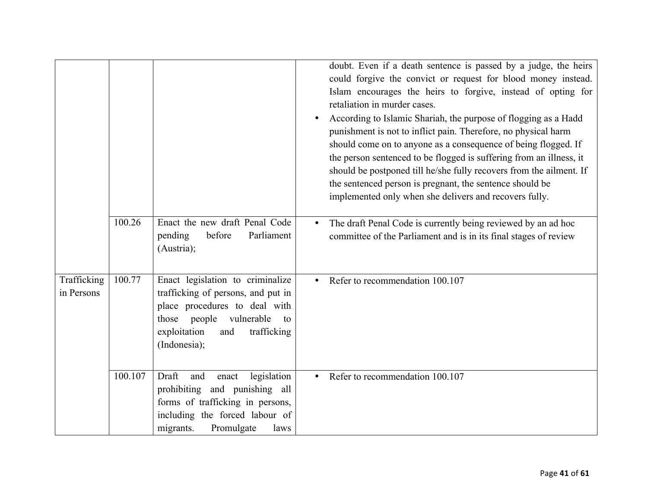|                           |         |                                                                                                                                                                                                   | doubt. Even if a death sentence is passed by a judge, the heirs<br>could forgive the convict or request for blood money instead.<br>Islam encourages the heirs to forgive, instead of opting for<br>retaliation in murder cases.<br>According to Islamic Shariah, the purpose of flogging as a Hadd<br>punishment is not to inflict pain. Therefore, no physical harm<br>should come on to anyone as a consequence of being flogged. If<br>the person sentenced to be flogged is suffering from an illness, it<br>should be postponed till he/she fully recovers from the ailment. If<br>the sentenced person is pregnant, the sentence should be<br>implemented only when she delivers and recovers fully. |
|---------------------------|---------|---------------------------------------------------------------------------------------------------------------------------------------------------------------------------------------------------|-------------------------------------------------------------------------------------------------------------------------------------------------------------------------------------------------------------------------------------------------------------------------------------------------------------------------------------------------------------------------------------------------------------------------------------------------------------------------------------------------------------------------------------------------------------------------------------------------------------------------------------------------------------------------------------------------------------|
|                           | 100.26  | Enact the new draft Penal Code<br>before<br>pending<br>Parliament<br>(Austria);                                                                                                                   | The draft Penal Code is currently being reviewed by an ad hoc<br>committee of the Parliament and is in its final stages of review                                                                                                                                                                                                                                                                                                                                                                                                                                                                                                                                                                           |
| Trafficking<br>in Persons | 100.77  | Enact legislation to criminalize<br>trafficking of persons, and put in<br>place procedures to deal with<br>people vulnerable<br>those<br>to<br>exploitation<br>trafficking<br>and<br>(Indonesia); | Refer to recommendation 100.107                                                                                                                                                                                                                                                                                                                                                                                                                                                                                                                                                                                                                                                                             |
|                           | 100.107 | Draft<br>legislation<br>and<br>enact<br>prohibiting and punishing all<br>forms of trafficking in persons,<br>including the forced labour of<br>Promulgate<br>migrants.<br>laws                    | Refer to recommendation 100.107                                                                                                                                                                                                                                                                                                                                                                                                                                                                                                                                                                                                                                                                             |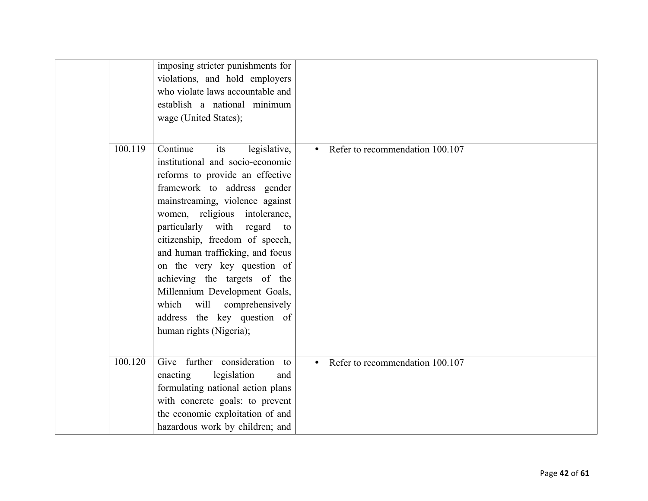|         | imposing stricter punishments for<br>violations, and hold employers<br>who violate laws accountable and<br>establish a national minimum<br>wage (United States);                                                                                                                                                                                                                                                                                                                                                 |                                              |
|---------|------------------------------------------------------------------------------------------------------------------------------------------------------------------------------------------------------------------------------------------------------------------------------------------------------------------------------------------------------------------------------------------------------------------------------------------------------------------------------------------------------------------|----------------------------------------------|
| 100.119 | Continue<br>its<br>legislative,<br>institutional and socio-economic<br>reforms to provide an effective<br>framework to address gender<br>mainstreaming, violence against<br>women, religious intolerance,<br>particularly with<br>regard<br>to<br>citizenship, freedom of speech,<br>and human trafficking, and focus<br>on the very key question of<br>achieving the targets of the<br>Millennium Development Goals,<br>will comprehensively<br>which<br>address the key question of<br>human rights (Nigeria); | Refer to recommendation 100.107<br>$\bullet$ |
| 100.120 | Give further consideration to<br>legislation<br>enacting<br>and<br>formulating national action plans<br>with concrete goals: to prevent<br>the economic exploitation of and<br>hazardous work by children; and                                                                                                                                                                                                                                                                                                   | Refer to recommendation 100.107<br>$\bullet$ |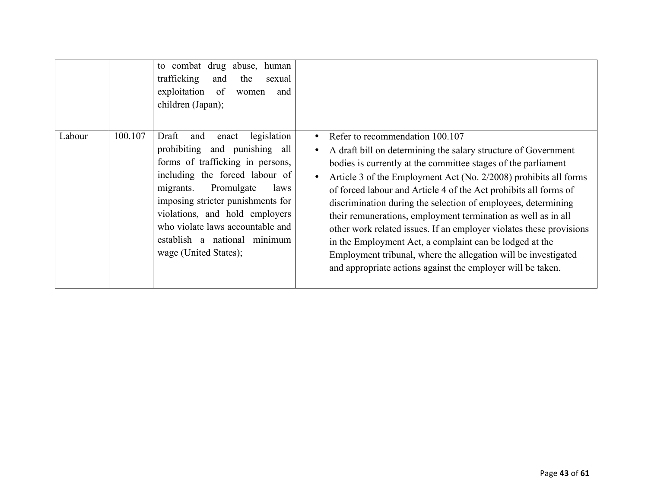|        |         | to combat drug abuse,<br>human<br>trafficking<br>the<br>and<br>sexual<br>exploitation<br>of<br>and<br>women<br>children (Japan);                                                                                                                                                                                                                   |                                                                                                                                                                                                                                                                                                                                                                                                                                                                                                                                                                                                                                                                                                                 |
|--------|---------|----------------------------------------------------------------------------------------------------------------------------------------------------------------------------------------------------------------------------------------------------------------------------------------------------------------------------------------------------|-----------------------------------------------------------------------------------------------------------------------------------------------------------------------------------------------------------------------------------------------------------------------------------------------------------------------------------------------------------------------------------------------------------------------------------------------------------------------------------------------------------------------------------------------------------------------------------------------------------------------------------------------------------------------------------------------------------------|
| Labour | 100.107 | Draft<br>legislation<br>enact<br>and<br>prohibiting and punishing all<br>forms of trafficking in persons,<br>including the forced labour of<br>Promulgate<br>migrants.<br>laws<br>imposing stricter punishments for<br>violations, and hold employers<br>who violate laws accountable and<br>establish a national minimum<br>wage (United States); | Refer to recommendation 100.107<br>A draft bill on determining the salary structure of Government<br>bodies is currently at the committee stages of the parliament<br>Article 3 of the Employment Act (No. 2/2008) prohibits all forms<br>of forced labour and Article 4 of the Act prohibits all forms of<br>discrimination during the selection of employees, determining<br>their remunerations, employment termination as well as in all<br>other work related issues. If an employer violates these provisions<br>in the Employment Act, a complaint can be lodged at the<br>Employment tribunal, where the allegation will be investigated<br>and appropriate actions against the employer will be taken. |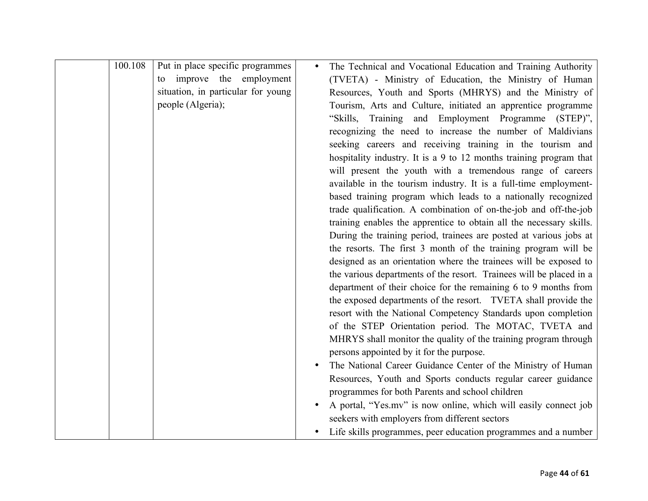| 100.108 | Put in place specific programmes   | The Technical and Vocational Education and Training Authority       |
|---------|------------------------------------|---------------------------------------------------------------------|
|         | improve the employment<br>to       | (TVETA) - Ministry of Education, the Ministry of Human              |
|         | situation, in particular for young | Resources, Youth and Sports (MHRYS) and the Ministry of             |
|         | people (Algeria);                  | Tourism, Arts and Culture, initiated an apprentice programme        |
|         |                                    | "Skills, Training and Employment Programme (STEP)",                 |
|         |                                    | recognizing the need to increase the number of Maldivians           |
|         |                                    | seeking careers and receiving training in the tourism and           |
|         |                                    | hospitality industry. It is a 9 to 12 months training program that  |
|         |                                    | will present the youth with a tremendous range of careers           |
|         |                                    | available in the tourism industry. It is a full-time employment-    |
|         |                                    | based training program which leads to a nationally recognized       |
|         |                                    | trade qualification. A combination of on-the-job and off-the-job    |
|         |                                    | training enables the apprentice to obtain all the necessary skills. |
|         |                                    | During the training period, trainees are posted at various jobs at  |
|         |                                    | the resorts. The first 3 month of the training program will be      |
|         |                                    | designed as an orientation where the trainees will be exposed to    |
|         |                                    | the various departments of the resort. Trainees will be placed in a |
|         |                                    | department of their choice for the remaining 6 to 9 months from     |
|         |                                    | the exposed departments of the resort. TVETA shall provide the      |
|         |                                    | resort with the National Competency Standards upon completion       |
|         |                                    | of the STEP Orientation period. The MOTAC, TVETA and                |
|         |                                    | MHRYS shall monitor the quality of the training program through     |
|         |                                    | persons appointed by it for the purpose.                            |
|         |                                    | The National Career Guidance Center of the Ministry of Human        |
|         |                                    | Resources, Youth and Sports conducts regular career guidance        |
|         |                                    | programmes for both Parents and school children                     |
|         |                                    | A portal, "Yes.mv" is now online, which will easily connect job     |
|         |                                    | seekers with employers from different sectors                       |
|         |                                    | Life skills programmes, peer education programmes and a number      |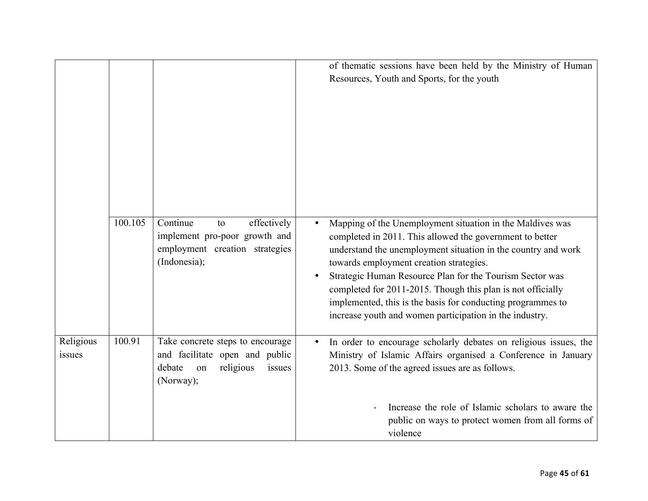|                     |         |                                                                                                                        | of thematic sessions have been held by the Ministry of Human<br>Resources, Youth and Sports, for the youth                                                                                                                                                                                                                                                                                                                                                                                          |
|---------------------|---------|------------------------------------------------------------------------------------------------------------------------|-----------------------------------------------------------------------------------------------------------------------------------------------------------------------------------------------------------------------------------------------------------------------------------------------------------------------------------------------------------------------------------------------------------------------------------------------------------------------------------------------------|
|                     | 100.105 | Continue<br>effectively<br>to<br>implement pro-poor growth and<br>employment creation strategies<br>(Indonesia);       | Mapping of the Unemployment situation in the Maldives was<br>$\bullet$<br>completed in 2011. This allowed the government to better<br>understand the unemployment situation in the country and work<br>towards employment creation strategies.<br>Strategic Human Resource Plan for the Tourism Sector was<br>completed for 2011-2015. Though this plan is not officially<br>implemented, this is the basis for conducting programmes to<br>increase youth and women participation in the industry. |
| Religious<br>issues | 100.91  | Take concrete steps to encourage<br>and facilitate open and public<br>religious<br>debate<br>issues<br>on<br>(Norway); | In order to encourage scholarly debates on religious issues, the<br>Ministry of Islamic Affairs organised a Conference in January<br>2013. Some of the agreed issues are as follows.                                                                                                                                                                                                                                                                                                                |
|                     |         |                                                                                                                        | Increase the role of Islamic scholars to aware the<br>public on ways to protect women from all forms of<br>violence                                                                                                                                                                                                                                                                                                                                                                                 |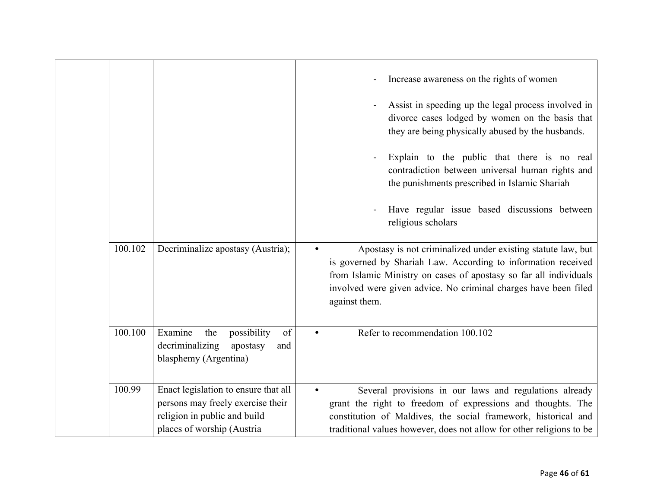|         |                                                                                                                                         | Increase awareness on the rights of women                                                                                                                                                                                                                                              |
|---------|-----------------------------------------------------------------------------------------------------------------------------------------|----------------------------------------------------------------------------------------------------------------------------------------------------------------------------------------------------------------------------------------------------------------------------------------|
|         |                                                                                                                                         | Assist in speeding up the legal process involved in<br>divorce cases lodged by women on the basis that<br>they are being physically abused by the husbands.                                                                                                                            |
|         |                                                                                                                                         | Explain to the public that there is no real<br>contradiction between universal human rights and<br>the punishments prescribed in Islamic Shariah                                                                                                                                       |
|         |                                                                                                                                         | Have regular issue based discussions between<br>religious scholars                                                                                                                                                                                                                     |
| 100.102 | Decriminalize apostasy (Austria);                                                                                                       | Apostasy is not criminalized under existing statute law, but<br>is governed by Shariah Law. According to information received<br>from Islamic Ministry on cases of apostasy so far all individuals<br>involved were given advice. No criminal charges have been filed<br>against them. |
| 100.100 | Examine<br>possibility<br>the<br>of<br>decriminalizing<br>apostasy<br>and<br>blasphemy (Argentina)                                      | Refer to recommendation 100.102                                                                                                                                                                                                                                                        |
| 100.99  | Enact legislation to ensure that all<br>persons may freely exercise their<br>religion in public and build<br>places of worship (Austria | Several provisions in our laws and regulations already<br>grant the right to freedom of expressions and thoughts. The<br>constitution of Maldives, the social framework, historical and<br>traditional values however, does not allow for other religions to be                        |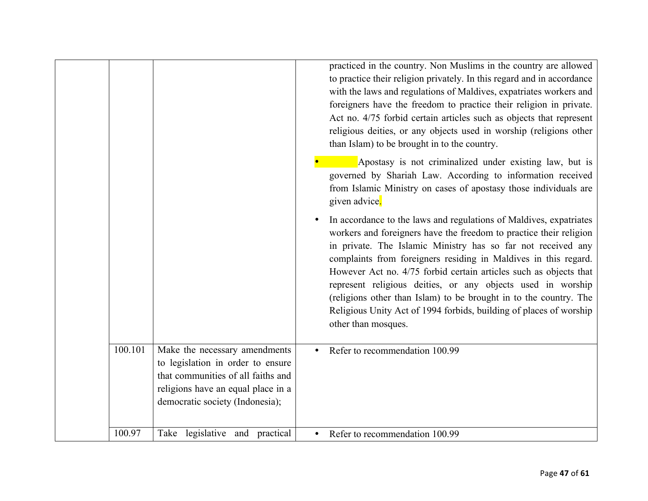|         |                                                                                                                                                                                   | practiced in the country. Non Muslims in the country are allowed<br>to practice their religion privately. In this regard and in accordance<br>with the laws and regulations of Maldives, expatriates workers and<br>foreigners have the freedom to practice their religion in private.<br>Act no. 4/75 forbid certain articles such as objects that represent<br>religious deities, or any objects used in worship (religions other<br>than Islam) to be brought in to the country.                                                                                               |
|---------|-----------------------------------------------------------------------------------------------------------------------------------------------------------------------------------|-----------------------------------------------------------------------------------------------------------------------------------------------------------------------------------------------------------------------------------------------------------------------------------------------------------------------------------------------------------------------------------------------------------------------------------------------------------------------------------------------------------------------------------------------------------------------------------|
|         |                                                                                                                                                                                   | Apostasy is not criminalized under existing law, but is<br>governed by Shariah Law. According to information received<br>from Islamic Ministry on cases of apostasy those individuals are<br>given advice.                                                                                                                                                                                                                                                                                                                                                                        |
|         |                                                                                                                                                                                   | In accordance to the laws and regulations of Maldives, expatriates<br>workers and foreigners have the freedom to practice their religion<br>in private. The Islamic Ministry has so far not received any<br>complaints from foreigners residing in Maldives in this regard.<br>However Act no. 4/75 forbid certain articles such as objects that<br>represent religious deities, or any objects used in worship<br>(religions other than Islam) to be brought in to the country. The<br>Religious Unity Act of 1994 forbids, building of places of worship<br>other than mosques. |
| 100.101 | Make the necessary amendments<br>to legislation in order to ensure<br>that communities of all faiths and<br>religions have an equal place in a<br>democratic society (Indonesia); | Refer to recommendation 100.99                                                                                                                                                                                                                                                                                                                                                                                                                                                                                                                                                    |
| 100.97  | Take legislative and practical                                                                                                                                                    | Refer to recommendation 100.99                                                                                                                                                                                                                                                                                                                                                                                                                                                                                                                                                    |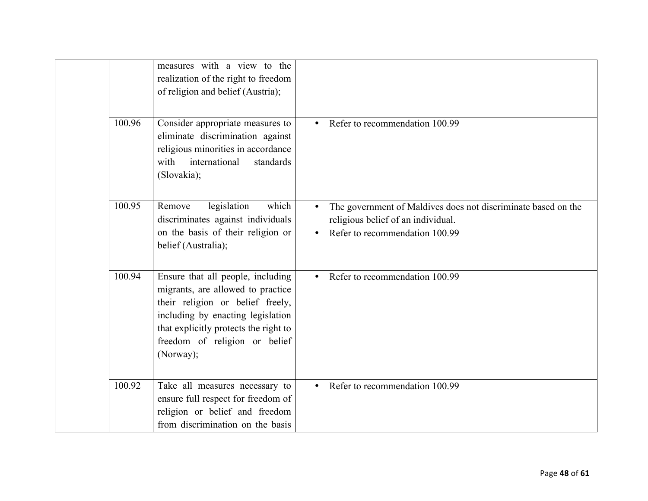|        | measures with a view to the<br>realization of the right to freedom<br>of religion and belief (Austria);                                                                                                                                |           |                                                                                                                                       |
|--------|----------------------------------------------------------------------------------------------------------------------------------------------------------------------------------------------------------------------------------------|-----------|---------------------------------------------------------------------------------------------------------------------------------------|
| 100.96 | Consider appropriate measures to<br>eliminate discrimination against<br>religious minorities in accordance<br>international<br>with<br>standards<br>(Slovakia);                                                                        |           | Refer to recommendation 100.99                                                                                                        |
| 100.95 | legislation<br>which<br>Remove<br>discriminates against individuals<br>on the basis of their religion or<br>belief (Australia);                                                                                                        |           | The government of Maldives does not discriminate based on the<br>religious belief of an individual.<br>Refer to recommendation 100.99 |
| 100.94 | Ensure that all people, including<br>migrants, are allowed to practice<br>their religion or belief freely,<br>including by enacting legislation<br>that explicitly protects the right to<br>freedom of religion or belief<br>(Norway); | $\bullet$ | Refer to recommendation 100.99                                                                                                        |
| 100.92 | Take all measures necessary to<br>ensure full respect for freedom of<br>religion or belief and freedom<br>from discrimination on the basis                                                                                             |           | Refer to recommendation 100.99                                                                                                        |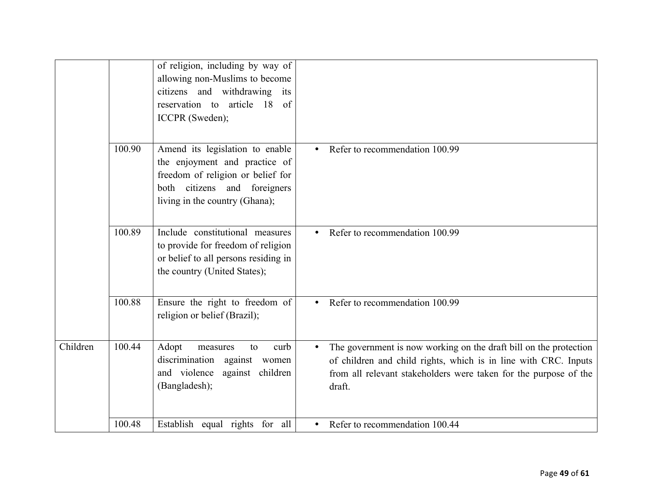|          |        | of religion, including by way of<br>allowing non-Muslims to become<br>citizens and withdrawing its<br>reservation to article 18 of<br>ICCPR (Sweden);                   |                                                                                                                                                                                                                    |
|----------|--------|-------------------------------------------------------------------------------------------------------------------------------------------------------------------------|--------------------------------------------------------------------------------------------------------------------------------------------------------------------------------------------------------------------|
|          | 100.90 | Amend its legislation to enable<br>the enjoyment and practice of<br>freedom of religion or belief for<br>both citizens and foreigners<br>living in the country (Ghana); | Refer to recommendation 100.99<br>$\bullet$                                                                                                                                                                        |
|          | 100.89 | Include constitutional measures<br>to provide for freedom of religion<br>or belief to all persons residing in<br>the country (United States);                           | Refer to recommendation 100.99                                                                                                                                                                                     |
|          | 100.88 | Ensure the right to freedom of<br>religion or belief (Brazil);                                                                                                          | Refer to recommendation 100.99                                                                                                                                                                                     |
| Children | 100.44 | Adopt<br>measures<br>curb<br>to<br>discrimination<br>against women<br>and violence against children<br>(Bangladesh);                                                    | The government is now working on the draft bill on the protection<br>of children and child rights, which is in line with CRC. Inputs<br>from all relevant stakeholders were taken for the purpose of the<br>draft. |
|          | 100.48 | Establish equal rights for all                                                                                                                                          | Refer to recommendation 100.44                                                                                                                                                                                     |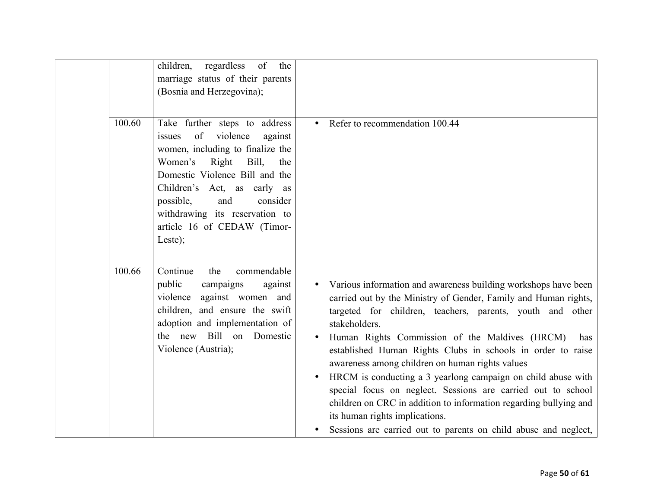|        | regardless of<br>children,<br>the<br>marriage status of their parents<br>(Bosnia and Herzegovina);                                                                                                                                                                                                                     |                                                                                                                                                                                                                                                                                                                                                                                                                                                                                                                                                                                                                                                                                                      |
|--------|------------------------------------------------------------------------------------------------------------------------------------------------------------------------------------------------------------------------------------------------------------------------------------------------------------------------|------------------------------------------------------------------------------------------------------------------------------------------------------------------------------------------------------------------------------------------------------------------------------------------------------------------------------------------------------------------------------------------------------------------------------------------------------------------------------------------------------------------------------------------------------------------------------------------------------------------------------------------------------------------------------------------------------|
| 100.60 | Take further steps to address<br>of violence<br>issues<br>against<br>women, including to finalize the<br>Women's<br>Right<br>Bill,<br>the<br>Domestic Violence Bill and the<br>Children's Act, as early as<br>and<br>possible,<br>consider<br>withdrawing its reservation to<br>article 16 of CEDAW (Timor-<br>Leste); | Refer to recommendation 100.44                                                                                                                                                                                                                                                                                                                                                                                                                                                                                                                                                                                                                                                                       |
| 100.66 | Continue<br>the<br>commendable<br>public<br>campaigns<br>against<br>against women and<br>violence<br>children, and ensure the swift<br>adoption and implementation of<br>the new Bill on Domestic<br>Violence (Austria);                                                                                               | Various information and awareness building workshops have been<br>carried out by the Ministry of Gender, Family and Human rights,<br>targeted for children, teachers, parents, youth and other<br>stakeholders.<br>Human Rights Commission of the Maldives (HRCM)<br>has<br>established Human Rights Clubs in schools in order to raise<br>awareness among children on human rights values<br>HRCM is conducting a 3 yearlong campaign on child abuse with<br>special focus on neglect. Sessions are carried out to school<br>children on CRC in addition to information regarding bullying and<br>its human rights implications.<br>Sessions are carried out to parents on child abuse and neglect, |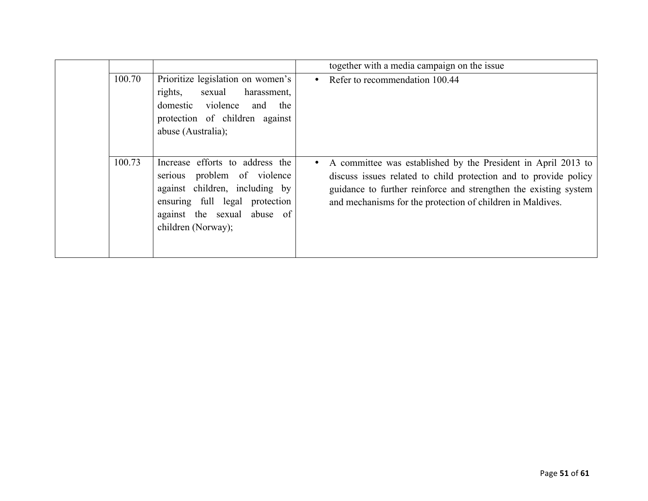|        |                                                                                                                                                                                         | together with a media campaign on the issue                                                                                                                                                                                                                         |
|--------|-----------------------------------------------------------------------------------------------------------------------------------------------------------------------------------------|---------------------------------------------------------------------------------------------------------------------------------------------------------------------------------------------------------------------------------------------------------------------|
| 100.70 | Prioritize legislation on women's<br>rights,<br>sexual<br>harassment,<br>domestic violence<br>and<br>the<br>protection of children against<br>abuse (Australia);                        | Refer to recommendation 100.44<br>$\bullet$                                                                                                                                                                                                                         |
| 100.73 | Increase efforts to address the<br>serious problem of violence<br>against children, including by<br>ensuring full legal protection<br>against the sexual abuse of<br>children (Norway); | A committee was established by the President in April 2013 to<br>discuss issues related to child protection and to provide policy<br>guidance to further reinforce and strengthen the existing system<br>and mechanisms for the protection of children in Maldives. |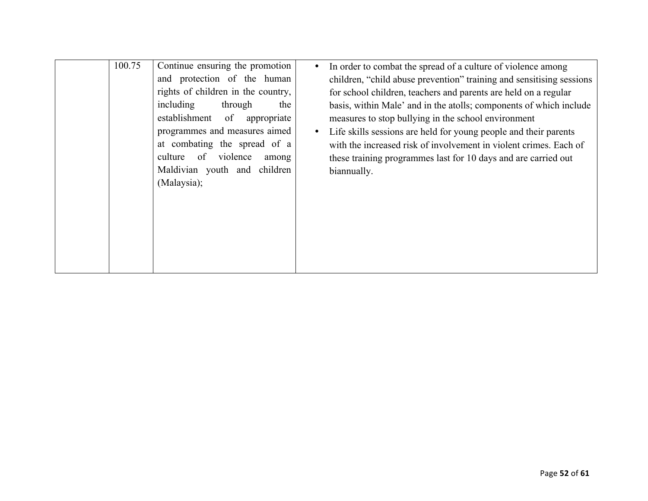| 100.75 | Continue ensuring the promotion<br>and protection of the human<br>rights of children in the country,<br>including<br>through<br>the<br>establishment of<br>appropriate<br>programmes and measures aimed<br>at combating the spread of a<br>violence<br>culture<br>of<br>among<br>Maldivian youth and children<br>(Malaysia); | In order to combat the spread of a culture of violence among<br>children, "child abuse prevention" training and sensitising sessions<br>for school children, teachers and parents are held on a regular<br>basis, within Male' and in the atolls; components of which include<br>measures to stop bullying in the school environment<br>Life skills sessions are held for young people and their parents<br>with the increased risk of involvement in violent crimes. Each of<br>these training programmes last for 10 days and are carried out<br>biannually. |
|--------|------------------------------------------------------------------------------------------------------------------------------------------------------------------------------------------------------------------------------------------------------------------------------------------------------------------------------|----------------------------------------------------------------------------------------------------------------------------------------------------------------------------------------------------------------------------------------------------------------------------------------------------------------------------------------------------------------------------------------------------------------------------------------------------------------------------------------------------------------------------------------------------------------|
|        |                                                                                                                                                                                                                                                                                                                              |                                                                                                                                                                                                                                                                                                                                                                                                                                                                                                                                                                |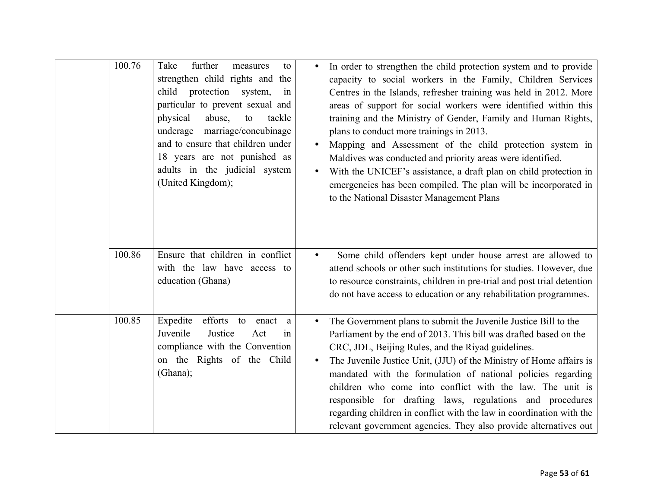| 100.76 | Take<br>further<br>measures<br>to<br>strengthen child rights and the<br>protection system,<br>child<br>in<br>particular to prevent sexual and<br>abuse,<br>physical<br>to<br>tackle<br>underage marriage/concubinage<br>and to ensure that children under<br>18 years are not punished as<br>adults in the judicial system<br>(United Kingdom); | In order to strengthen the child protection system and to provide<br>capacity to social workers in the Family, Children Services<br>Centres in the Islands, refresher training was held in 2012. More<br>areas of support for social workers were identified within this<br>training and the Ministry of Gender, Family and Human Rights,<br>plans to conduct more trainings in 2013.<br>Mapping and Assessment of the child protection system in<br>Maldives was conducted and priority areas were identified.<br>With the UNICEF's assistance, a draft plan on child protection in<br>emergencies has been compiled. The plan will be incorporated in<br>to the National Disaster Management Plans |
|--------|-------------------------------------------------------------------------------------------------------------------------------------------------------------------------------------------------------------------------------------------------------------------------------------------------------------------------------------------------|------------------------------------------------------------------------------------------------------------------------------------------------------------------------------------------------------------------------------------------------------------------------------------------------------------------------------------------------------------------------------------------------------------------------------------------------------------------------------------------------------------------------------------------------------------------------------------------------------------------------------------------------------------------------------------------------------|
| 100.86 | Ensure that children in conflict<br>with the law have access to<br>education (Ghana)                                                                                                                                                                                                                                                            | Some child offenders kept under house arrest are allowed to<br>attend schools or other such institutions for studies. However, due<br>to resource constraints, children in pre-trial and post trial detention<br>do not have access to education or any rehabilitation programmes.                                                                                                                                                                                                                                                                                                                                                                                                                   |
| 100.85 | Expedite<br>efforts to<br>enact<br>a<br>Juvenile<br>Justice<br>Act<br>1n<br>compliance with the Convention<br>on the Rights of the Child<br>(Ghana);                                                                                                                                                                                            | The Government plans to submit the Juvenile Justice Bill to the<br>Parliament by the end of 2013. This bill was drafted based on the<br>CRC, JDL, Beijing Rules, and the Riyad guidelines.<br>The Juvenile Justice Unit, (JJU) of the Ministry of Home affairs is<br>mandated with the formulation of national policies regarding<br>children who come into conflict with the law. The unit is<br>responsible for drafting laws, regulations and procedures<br>regarding children in conflict with the law in coordination with the<br>relevant government agencies. They also provide alternatives out                                                                                              |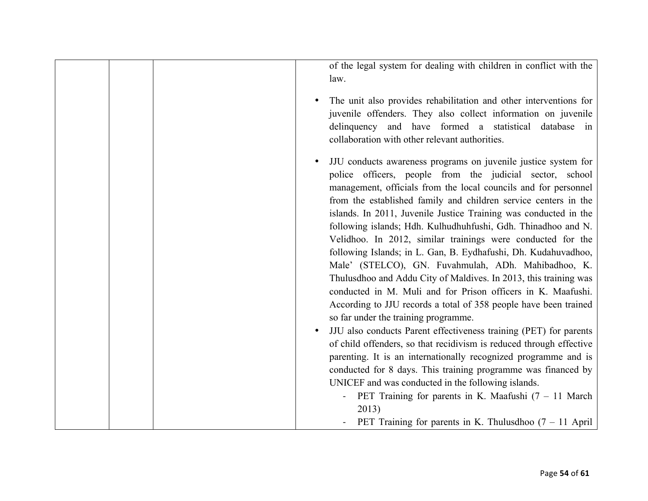| of the legal system for dealing with children in conflict with the<br>law. |
|----------------------------------------------------------------------------|
| The unit also provides rehabilitation and other interventions for          |
| juvenile offenders. They also collect information on juvenile              |
| delinquency and have formed a statistical database in                      |
| collaboration with other relevant authorities.                             |
| JJU conducts awareness programs on juvenile justice system for             |
| police officers, people from the judicial sector, school                   |
| management, officials from the local councils and for personnel            |
| from the established family and children service centers in the            |
| islands. In 2011, Juvenile Justice Training was conducted in the           |
| following islands; Hdh. Kulhudhuhfushi, Gdh. Thinadhoo and N.              |
| Velidhoo. In 2012, similar trainings were conducted for the                |
| following Islands; in L. Gan, B. Eydhafushi, Dh. Kudahuvadhoo,             |
| Male' (STELCO), GN. Fuvahmulah, ADh. Mahibadhoo, K.                        |
| Thulusdhoo and Addu City of Maldives. In 2013, this training was           |
| conducted in M. Muli and for Prison officers in K. Maafushi.               |
| According to JJU records a total of 358 people have been trained           |
| so far under the training programme.                                       |
| JJU also conducts Parent effectiveness training (PET) for parents          |
| of child offenders, so that recidivism is reduced through effective        |
| parenting. It is an internationally recognized programme and is            |
| conducted for 8 days. This training programme was financed by              |
| UNICEF and was conducted in the following islands.                         |
| PET Training for parents in K. Maafushi $(7 - 11)$ March                   |
| 2013)                                                                      |
| PET Training for parents in K. Thulusdhoo $(7 - 11$ April                  |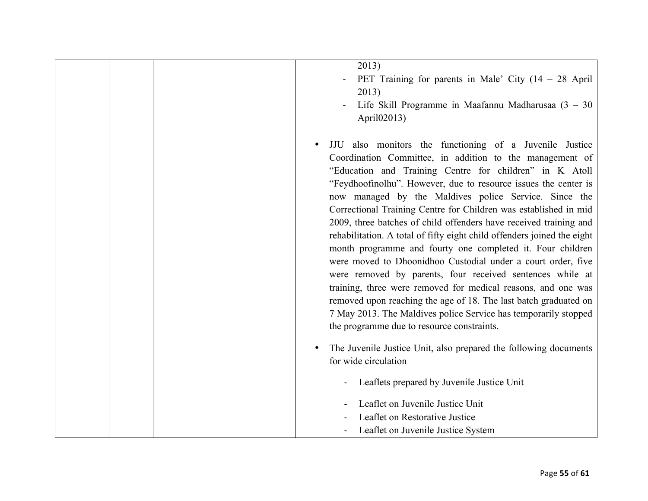| 2013)<br>PET Training for parents in Male' City $(14 - 28$ April<br>2013)<br>Life Skill Programme in Maafannu Madharusaa $(3 - 30)$<br>April02013)                                                                                                                                                                                                                                                                                                                                                                                                                                                                                                                                                                                                                                                                                                                                                                                                                              |
|---------------------------------------------------------------------------------------------------------------------------------------------------------------------------------------------------------------------------------------------------------------------------------------------------------------------------------------------------------------------------------------------------------------------------------------------------------------------------------------------------------------------------------------------------------------------------------------------------------------------------------------------------------------------------------------------------------------------------------------------------------------------------------------------------------------------------------------------------------------------------------------------------------------------------------------------------------------------------------|
| JJU also monitors the functioning of a Juvenile Justice<br>Coordination Committee, in addition to the management of<br>"Education and Training Centre for children" in K Atoll<br>"Feydhoofinolhu". However, due to resource issues the center is<br>now managed by the Maldives police Service. Since the<br>Correctional Training Centre for Children was established in mid<br>2009, three batches of child offenders have received training and<br>rehabilitation. A total of fifty eight child offenders joined the eight<br>month programme and fourty one completed it. Four children<br>were moved to Dhoonidhoo Custodial under a court order, five<br>were removed by parents, four received sentences while at<br>training, three were removed for medical reasons, and one was<br>removed upon reaching the age of 18. The last batch graduated on<br>7 May 2013. The Maldives police Service has temporarily stopped<br>the programme due to resource constraints. |
| The Juvenile Justice Unit, also prepared the following documents<br>for wide circulation<br>Leaflets prepared by Juvenile Justice Unit                                                                                                                                                                                                                                                                                                                                                                                                                                                                                                                                                                                                                                                                                                                                                                                                                                          |
| Leaflet on Juvenile Justice Unit<br>Leaflet on Restorative Justice<br>Leaflet on Juvenile Justice System                                                                                                                                                                                                                                                                                                                                                                                                                                                                                                                                                                                                                                                                                                                                                                                                                                                                        |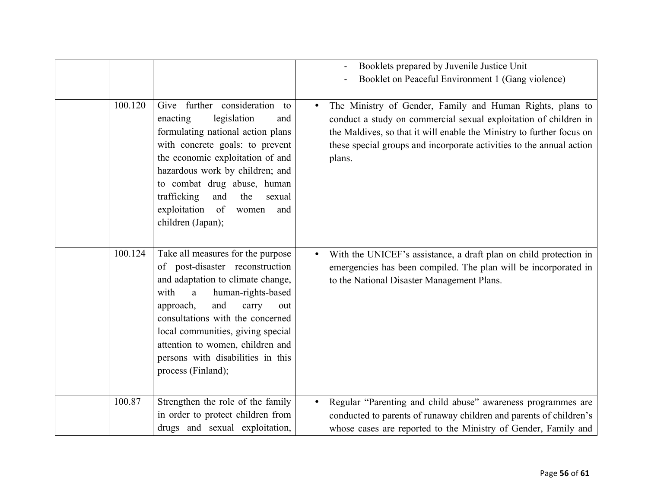|         |                                                                                                                                                                                                                                                                                                                                                          | Booklets prepared by Juvenile Justice Unit<br>Booklet on Peaceful Environment 1 (Gang violence)                                                                                                                                                                                          |
|---------|----------------------------------------------------------------------------------------------------------------------------------------------------------------------------------------------------------------------------------------------------------------------------------------------------------------------------------------------------------|------------------------------------------------------------------------------------------------------------------------------------------------------------------------------------------------------------------------------------------------------------------------------------------|
| 100.120 | Give further consideration to<br>legislation<br>enacting<br>and<br>formulating national action plans<br>with concrete goals: to prevent<br>the economic exploitation of and<br>hazardous work by children; and<br>to combat drug abuse, human<br>trafficking<br>and<br>the<br>sexual<br>exploitation<br>of<br>women<br>and<br>children (Japan);          | The Ministry of Gender, Family and Human Rights, plans to<br>conduct a study on commercial sexual exploitation of children in<br>the Maldives, so that it will enable the Ministry to further focus on<br>these special groups and incorporate activities to the annual action<br>plans. |
| 100.124 | Take all measures for the purpose<br>of post-disaster reconstruction<br>and adaptation to climate change,<br>with<br>human-rights-based<br>a<br>and<br>approach,<br>carry<br>out<br>consultations with the concerned<br>local communities, giving special<br>attention to women, children and<br>persons with disabilities in this<br>process (Finland); | With the UNICEF's assistance, a draft plan on child protection in<br>emergencies has been compiled. The plan will be incorporated in<br>to the National Disaster Management Plans.                                                                                                       |
| 100.87  | Strengthen the role of the family<br>in order to protect children from<br>drugs and sexual exploitation,                                                                                                                                                                                                                                                 | Regular "Parenting and child abuse" awareness programmes are<br>conducted to parents of runaway children and parents of children's<br>whose cases are reported to the Ministry of Gender, Family and                                                                                     |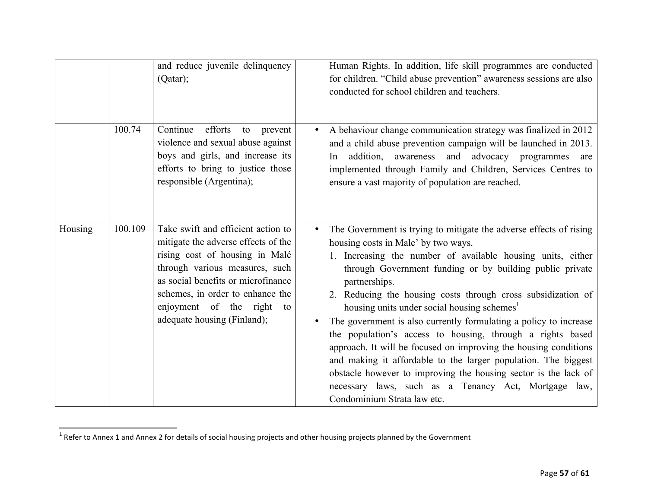|         |         | and reduce juvenile delinquency<br>(Qatar);                                                                                                                                                                                                                                            | Human Rights. In addition, life skill programmes are conducted<br>for children. "Child abuse prevention" awareness sessions are also<br>conducted for school children and teachers.                                                                                                                                                                                                                                                                                                                                                                                                                                                                                                                                                                                                                                 |
|---------|---------|----------------------------------------------------------------------------------------------------------------------------------------------------------------------------------------------------------------------------------------------------------------------------------------|---------------------------------------------------------------------------------------------------------------------------------------------------------------------------------------------------------------------------------------------------------------------------------------------------------------------------------------------------------------------------------------------------------------------------------------------------------------------------------------------------------------------------------------------------------------------------------------------------------------------------------------------------------------------------------------------------------------------------------------------------------------------------------------------------------------------|
|         | 100.74  | Continue<br>efforts<br>to<br>prevent<br>violence and sexual abuse against<br>boys and girls, and increase its<br>efforts to bring to justice those<br>responsible (Argentina);                                                                                                         | A behaviour change communication strategy was finalized in 2012<br>and a child abuse prevention campaign will be launched in 2013.<br>addition, awareness and advocacy programmes<br>In<br>are<br>implemented through Family and Children, Services Centres to<br>ensure a vast majority of population are reached.                                                                                                                                                                                                                                                                                                                                                                                                                                                                                                 |
| Housing | 100.109 | Take swift and efficient action to<br>mitigate the adverse effects of the<br>rising cost of housing in Malé<br>through various measures, such<br>as social benefits or microfinance<br>schemes, in order to enhance the<br>enjoyment of the right<br>to<br>adequate housing (Finland); | The Government is trying to mitigate the adverse effects of rising<br>housing costs in Male' by two ways.<br>1. Increasing the number of available housing units, either<br>through Government funding or by building public private<br>partnerships.<br>2. Reducing the housing costs through cross subsidization of<br>housing units under social housing schemes <sup>1</sup><br>The government is also currently formulating a policy to increase<br>the population's access to housing, through a rights based<br>approach. It will be focused on improving the housing conditions<br>and making it affordable to the larger population. The biggest<br>obstacle however to improving the housing sector is the lack of<br>necessary laws, such as a Tenancy Act, Mortgage law,<br>Condominium Strata law etc. |

!!!!!!!!!!!!!!!!!!!!!!!!!!!!!!!!!!!!!!!!!!!!!!!!!!!!!!!!!!!!

<sup>&</sup>lt;sup>1</sup> Refer to Annex 1 and Annex 2 for details of social housing projects and other housing projects planned by the Government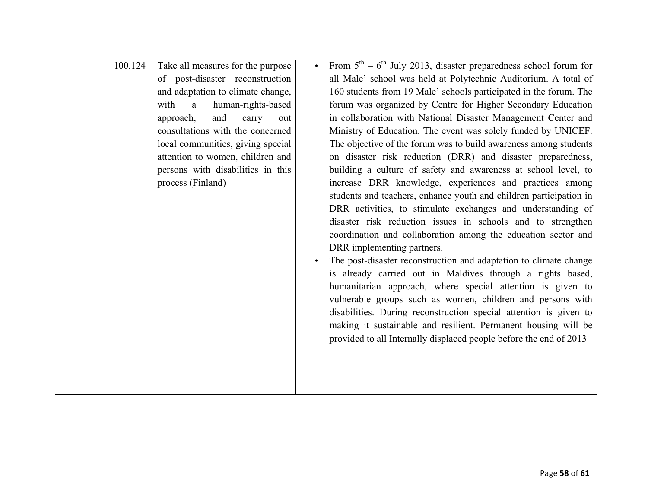| 100.124 | Take all measures for the purpose          | From $5th - 6th$ July 2013, disaster preparedness school forum for |
|---------|--------------------------------------------|--------------------------------------------------------------------|
|         | of post-disaster reconstruction            | all Male' school was held at Polytechnic Auditorium. A total of    |
|         | and adaptation to climate change,          | 160 students from 19 Male' schools participated in the forum. The  |
|         | human-rights-based<br>with<br>$\mathbf{a}$ | forum was organized by Centre for Higher Secondary Education       |
|         | and<br>approach,<br>carry<br>out           | in collaboration with National Disaster Management Center and      |
|         | consultations with the concerned           | Ministry of Education. The event was solely funded by UNICEF.      |
|         | local communities, giving special          | The objective of the forum was to build awareness among students   |
|         | attention to women, children and           | on disaster risk reduction (DRR) and disaster preparedness,        |
|         | persons with disabilities in this          | building a culture of safety and awareness at school level, to     |
|         | process (Finland)                          | increase DRR knowledge, experiences and practices among            |
|         |                                            | students and teachers, enhance youth and children participation in |
|         |                                            | DRR activities, to stimulate exchanges and understanding of        |
|         |                                            | disaster risk reduction issues in schools and to strengthen        |
|         |                                            | coordination and collaboration among the education sector and      |
|         |                                            | DRR implementing partners.                                         |
|         |                                            | The post-disaster reconstruction and adaptation to climate change  |
|         |                                            | is already carried out in Maldives through a rights based,         |
|         |                                            | humanitarian approach, where special attention is given to         |
|         |                                            | vulnerable groups such as women, children and persons with         |
|         |                                            | disabilities. During reconstruction special attention is given to  |
|         |                                            | making it sustainable and resilient. Permanent housing will be     |
|         |                                            | provided to all Internally displaced people before the end of 2013 |
|         |                                            |                                                                    |
|         |                                            |                                                                    |
|         |                                            |                                                                    |
|         |                                            |                                                                    |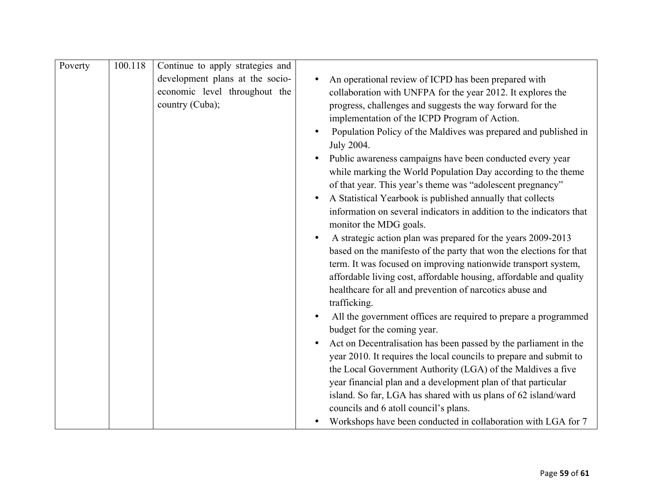| Poverty | 100.118 | Continue to apply strategies and |                                                                      |
|---------|---------|----------------------------------|----------------------------------------------------------------------|
|         |         | development plans at the socio-  | An operational review of ICPD has been prepared with                 |
|         |         | economic level throughout the    | collaboration with UNFPA for the year 2012. It explores the          |
|         |         | country (Cuba);                  | progress, challenges and suggests the way forward for the            |
|         |         |                                  | implementation of the ICPD Program of Action.                        |
|         |         |                                  | Population Policy of the Maldives was prepared and published in      |
|         |         |                                  | July 2004.                                                           |
|         |         |                                  | Public awareness campaigns have been conducted every year            |
|         |         |                                  | while marking the World Population Day according to the theme        |
|         |         |                                  | of that year. This year's theme was "adolescent pregnancy"           |
|         |         |                                  | A Statistical Yearbook is published annually that collects           |
|         |         |                                  | information on several indicators in addition to the indicators that |
|         |         |                                  | monitor the MDG goals.                                               |
|         |         |                                  | A strategic action plan was prepared for the years 2009-2013         |
|         |         |                                  | based on the manifesto of the party that won the elections for that  |
|         |         |                                  | term. It was focused on improving nationwide transport system,       |
|         |         |                                  | affordable living cost, affordable housing, affordable and quality   |
|         |         |                                  | healthcare for all and prevention of narcotics abuse and             |
|         |         |                                  | trafficking.                                                         |
|         |         |                                  | All the government offices are required to prepare a programmed      |
|         |         |                                  | budget for the coming year.                                          |
|         |         |                                  | Act on Decentralisation has been passed by the parliament in the     |
|         |         |                                  | year 2010. It requires the local councils to prepare and submit to   |
|         |         |                                  | the Local Government Authority (LGA) of the Maldives a five          |
|         |         |                                  | year financial plan and a development plan of that particular        |
|         |         |                                  | island. So far, LGA has shared with us plans of 62 island/ward       |
|         |         |                                  | councils and 6 atoll council's plans.                                |
|         |         |                                  | Workshops have been conducted in collaboration with LGA for 7        |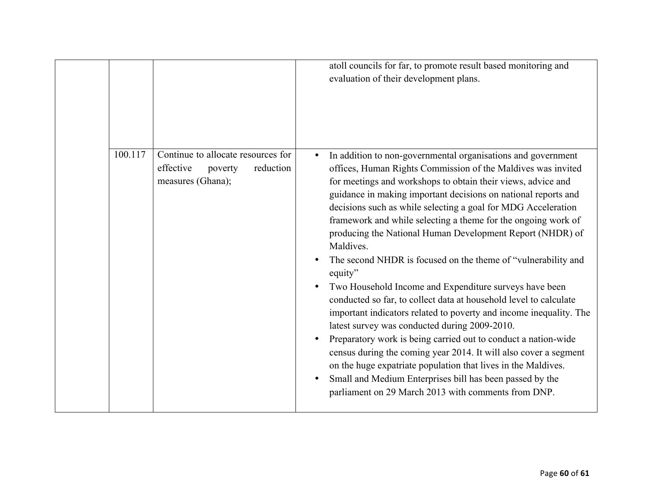|         |                                                                                              | atoll councils for far, to promote result based monitoring and<br>evaluation of their development plans.                                                                                                                                                                                                                                                                                                                                                                                                                                                                                                                                                                                                                                                                                                                                                                                                                                                                                                                                                                                                                               |
|---------|----------------------------------------------------------------------------------------------|----------------------------------------------------------------------------------------------------------------------------------------------------------------------------------------------------------------------------------------------------------------------------------------------------------------------------------------------------------------------------------------------------------------------------------------------------------------------------------------------------------------------------------------------------------------------------------------------------------------------------------------------------------------------------------------------------------------------------------------------------------------------------------------------------------------------------------------------------------------------------------------------------------------------------------------------------------------------------------------------------------------------------------------------------------------------------------------------------------------------------------------|
| 100.117 | Continue to allocate resources for<br>effective<br>reduction<br>poverty<br>measures (Ghana); | In addition to non-governmental organisations and government<br>offices, Human Rights Commission of the Maldives was invited<br>for meetings and workshops to obtain their views, advice and<br>guidance in making important decisions on national reports and<br>decisions such as while selecting a goal for MDG Acceleration<br>framework and while selecting a theme for the ongoing work of<br>producing the National Human Development Report (NHDR) of<br>Maldives.<br>The second NHDR is focused on the theme of "vulnerability and<br>equity"<br>Two Household Income and Expenditure surveys have been<br>conducted so far, to collect data at household level to calculate<br>important indicators related to poverty and income inequality. The<br>latest survey was conducted during 2009-2010.<br>Preparatory work is being carried out to conduct a nation-wide<br>census during the coming year 2014. It will also cover a segment<br>on the huge expatriate population that lives in the Maldives.<br>Small and Medium Enterprises bill has been passed by the<br>parliament on 29 March 2013 with comments from DNP. |